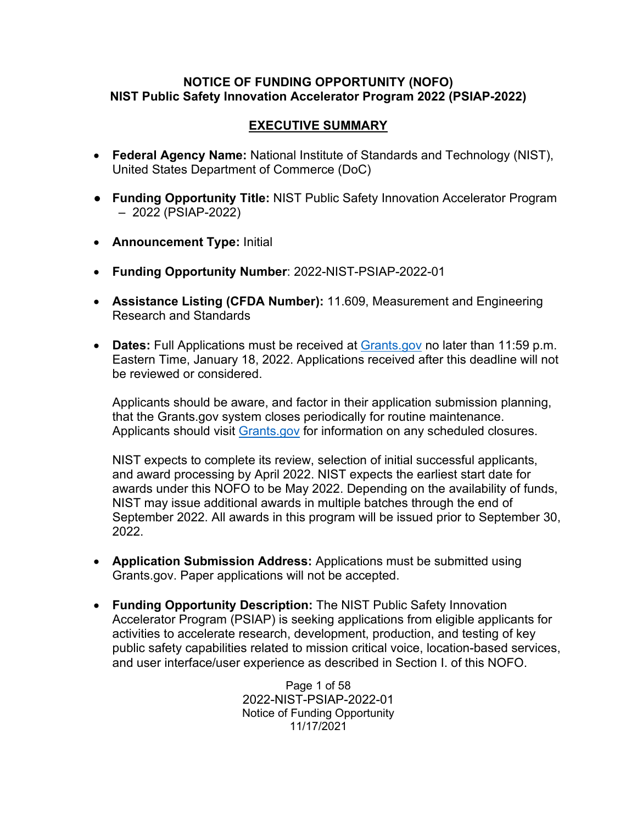#### **NOTICE OF FUNDING OPPORTUNITY (NOFO) NIST Public Safety Innovation Accelerator Program 2022 (PSIAP-2022)**

#### **EXECUTIVE SUMMARY**

- **Federal Agency Name:** National Institute of Standards and Technology (NIST), United States Department of Commerce (DoC)
- **Funding Opportunity Title:** NIST Public Safety Innovation Accelerator Program – 2022 (PSIAP-2022)
- **Announcement Type:** Initial
- **Funding Opportunity Number**: 2022-NIST-PSIAP-2022-01
- **Assistance Listing (CFDA Number):** 11.609, Measurement and Engineering Research and Standards
- **Dates:** Full Applications must be received at [Grants.gov](https://www.grants.gov/) no later than 11:59 p.m. Eastern Time, January 18, 2022. Applications received after this deadline will not be reviewed or considered.

Applicants should be aware, and factor in their application submission planning, that the Grants.gov system closes periodically for routine maintenance. Applicants should visit [Grants.gov](https://www.grants.gov/) for information on any scheduled closures.

NIST expects to complete its review, selection of initial successful applicants, and award processing by April 2022. NIST expects the earliest start date for awards under this NOFO to be May 2022. Depending on the availability of funds, NIST may issue additional awards in multiple batches through the end of September 2022. All awards in this program will be issued prior to September 30, 2022.

- **Application Submission Address:** Applications must be submitted using Grants.gov. Paper applications will not be accepted.
- **Funding Opportunity Description:** The NIST Public Safety Innovation Accelerator Program (PSIAP) is seeking applications from eligible applicants for activities to accelerate research, development, production, and testing of key public safety capabilities related to mission critical voice, location-based services, and user interface/user experience as described in Section I. of this NOFO.

Page 1 of 58 2022-NIST-PSIAP-2022-01 Notice of Funding Opportunity 11/17/2021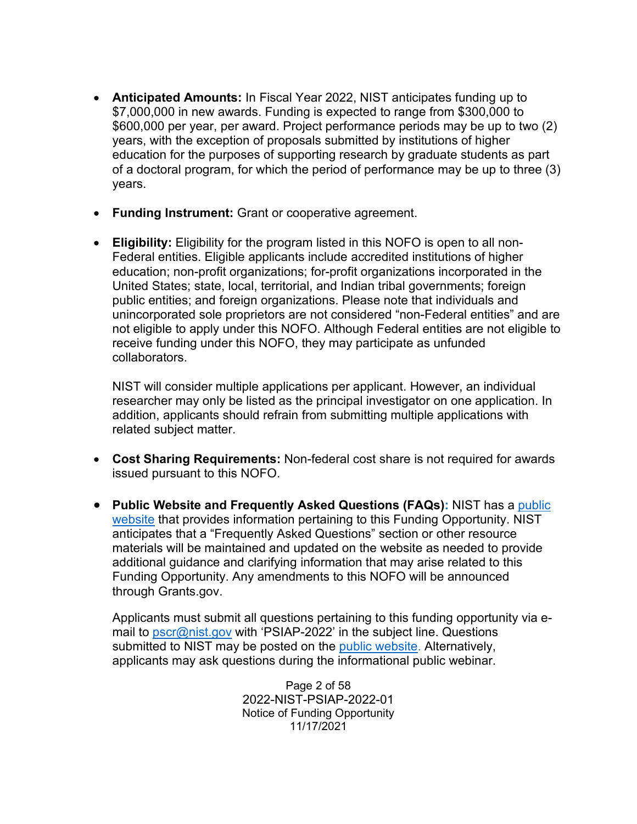- **Anticipated Amounts:** In Fiscal Year 2022, NIST anticipates funding up to \$7,000,000 in new awards. Funding is expected to range from \$300,000 to \$600,000 per year, per award. Project performance periods may be up to two (2) years, with the exception of proposals submitted by institutions of higher education for the purposes of supporting research by graduate students as part of a doctoral program, for which the period of performance may be up to three (3) years.
- **Funding Instrument:** Grant or cooperative agreement.
- **Eligibility:** Eligibility for the program listed in this NOFO is open to all non-Federal entities. Eligible applicants include accredited institutions of higher education; non-profit organizations; for-profit organizations incorporated in the United States; state, local, territorial, and Indian tribal governments; foreign public entities; and foreign organizations. Please note that individuals and unincorporated sole proprietors are not considered "non-Federal entities" and are not eligible to apply under this NOFO. Although Federal entities are not eligible to receive funding under this NOFO, they may participate as unfunded collaborators.

NIST will consider multiple applications per applicant. However, an individual researcher may only be listed as the principal investigator on one application. In addition, applicants should refrain from submitting multiple applications with related subject matter.

- **Cost Sharing Requirements:** Non-federal cost share is not required for awards issued pursuant to this NOFO.
- **Public Website and Frequently Asked Questions (FAQs):** NIST has a [public](https://www.nist.gov/ctl/pscr/funding-opportunities/grants-and-cooperative-agreements/psiap-2022)  [website](https://www.nist.gov/ctl/pscr/funding-opportunities/grants-and-cooperative-agreements/psiap-2022) that provides information pertaining to this Funding Opportunity. NIST anticipates that a "Frequently Asked Questions" section or other resource materials will be maintained and updated on the website as needed to provide additional guidance and clarifying information that may arise related to this Funding Opportunity. Any amendments to this NOFO will be announced through Grants.gov.

Applicants must submit all questions pertaining to this funding opportunity via email to [pscr@nist.gov](mailto:pscr@nist.gov) with 'PSIAP-2022' in the subject line. Questions submitted to NIST may be posted on the [public website.](https://www.nist.gov/ctl/pscr/funding-opportunities/grants-and-cooperative-agreements/psiap-2022) Alternatively, applicants may ask questions during the informational public webinar.

> Page 2 of 58 2022-NIST-PSIAP-2022-01 Notice of Funding Opportunity 11/17/2021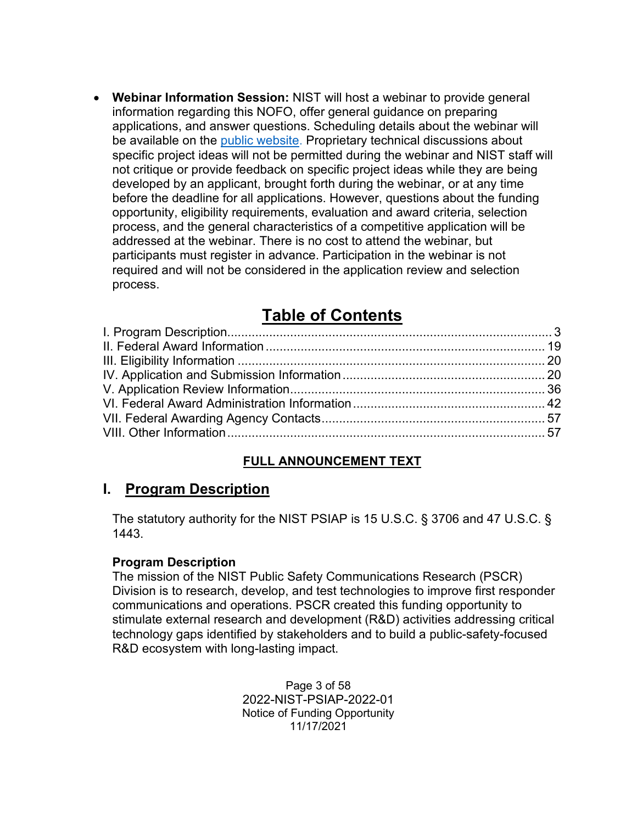• **Webinar Information Session:** NIST will host a webinar to provide general information regarding this NOFO, offer general guidance on preparing applications, and answer questions. Scheduling details about the webinar will be available on the [public website.](https://www.nist.gov/ctl/pscr/funding-opportunities/grants-and-cooperative-agreements/psiap-2022) Proprietary technical discussions about specific project ideas will not be permitted during the webinar and NIST staff will not critique or provide feedback on specific project ideas while they are being developed by an applicant, brought forth during the webinar, or at any time before the deadline for all applications. However, questions about the funding opportunity, eligibility requirements, evaluation and award criteria, selection process, and the general characteristics of a competitive application will be addressed at the webinar. There is no cost to attend the webinar, but participants must register in advance. Participation in the webinar is not required and will not be considered in the application review and selection process.

# **Table of Contents**

## **FULL ANNOUNCEMENT TEXT**

## <span id="page-2-0"></span>**I. Program Description**

The statutory authority for the NIST PSIAP is 15 U.S.C. § 3706 and 47 U.S.C. § 1443.

#### **Program Description**

The mission of the NIST Public Safety Communications Research (PSCR) Division is to research, develop, and test technologies to improve first responder communications and operations. PSCR created this funding opportunity to stimulate external research and development (R&D) activities addressing critical technology gaps identified by stakeholders and to build a public-safety-focused R&D ecosystem with long-lasting impact.

> Page 3 of 58 2022-NIST-PSIAP-2022-01 Notice of Funding Opportunity 11/17/2021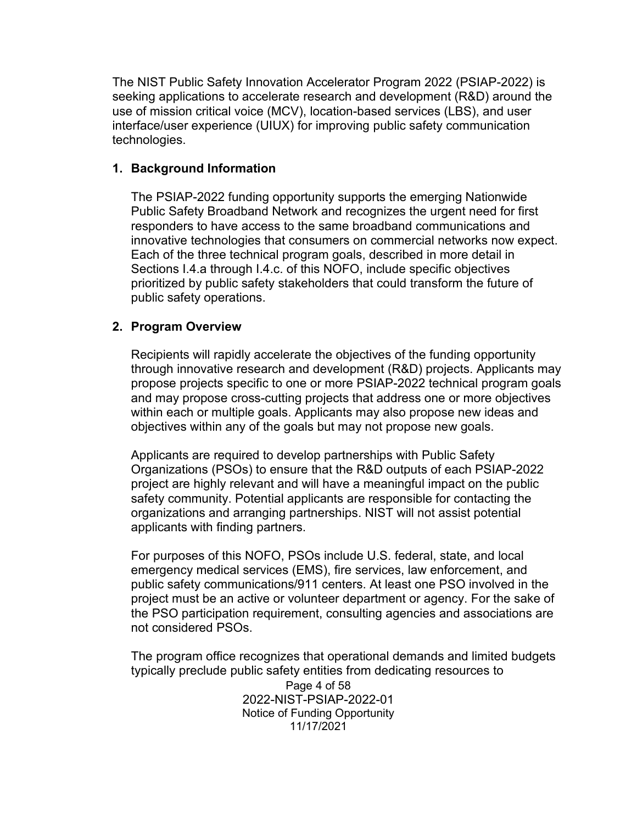The NIST Public Safety Innovation Accelerator Program 2022 (PSIAP-2022) is seeking applications to accelerate research and development (R&D) around the use of mission critical voice (MCV), location-based services (LBS), and user interface/user experience (UIUX) for improving public safety communication technologies.

#### **1. Background Information**

The PSIAP-2022 funding opportunity supports the emerging Nationwide Public Safety Broadband Network and recognizes the urgent need for first responders to have access to the same broadband communications and innovative technologies that consumers on commercial networks now expect. Each of the three technical program goals, described in more detail in Sections I.4.a through I.4.c. of this NOFO, include specific objectives prioritized by public safety stakeholders that could transform the future of public safety operations.

#### **2. Program Overview**

Recipients will rapidly accelerate the objectives of the funding opportunity through innovative research and development (R&D) projects. Applicants may propose projects specific to one or more PSIAP-2022 technical program goals and may propose cross-cutting projects that address one or more objectives within each or multiple goals. Applicants may also propose new ideas and objectives within any of the goals but may not propose new goals.

Applicants are required to develop partnerships with Public Safety Organizations (PSOs) to ensure that the R&D outputs of each PSIAP-2022 project are highly relevant and will have a meaningful impact on the public safety community. Potential applicants are responsible for contacting the organizations and arranging partnerships. NIST will not assist potential applicants with finding partners.

For purposes of this NOFO, PSOs include U.S. federal, state, and local emergency medical services (EMS), fire services, law enforcement, and public safety communications/911 centers. At least one PSO involved in the project must be an active or volunteer department or agency. For the sake of the PSO participation requirement, consulting agencies and associations are not considered PSOs.

The program office recognizes that operational demands and limited budgets typically preclude public safety entities from dedicating resources to

> Page 4 of 58 2022-NIST-PSIAP-2022-01 Notice of Funding Opportunity 11/17/2021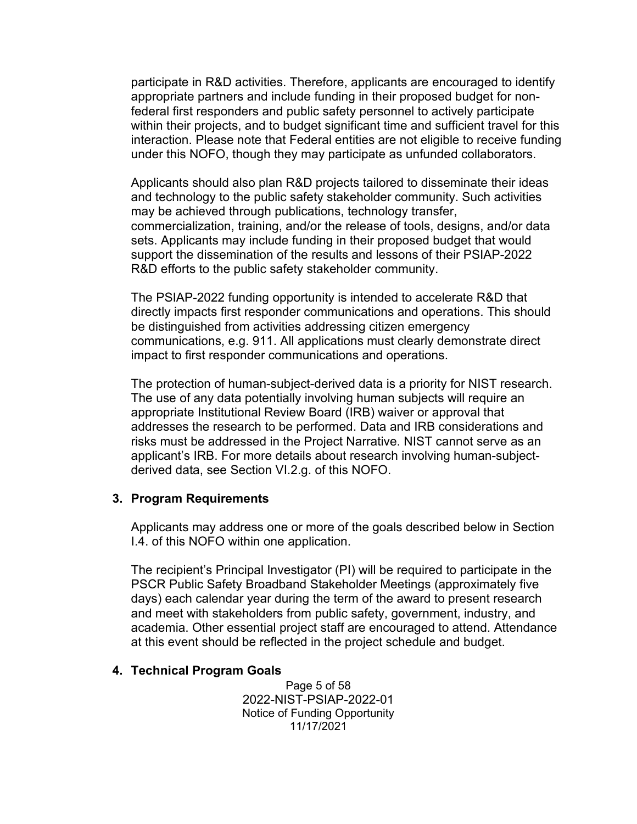participate in R&D activities. Therefore, applicants are encouraged to identify appropriate partners and include funding in their proposed budget for nonfederal first responders and public safety personnel to actively participate within their projects, and to budget significant time and sufficient travel for this interaction. Please note that Federal entities are not eligible to receive funding under this NOFO, though they may participate as unfunded collaborators.

Applicants should also plan R&D projects tailored to disseminate their ideas and technology to the public safety stakeholder community. Such activities may be achieved through publications, technology transfer, commercialization, training, and/or the release of tools, designs, and/or data sets. Applicants may include funding in their proposed budget that would support the dissemination of the results and lessons of their PSIAP-2022 R&D efforts to the public safety stakeholder community.

The PSIAP-2022 funding opportunity is intended to accelerate R&D that directly impacts first responder communications and operations. This should be distinguished from activities addressing citizen emergency communications, e.g. 911. All applications must clearly demonstrate direct impact to first responder communications and operations.

The protection of human-subject-derived data is a priority for NIST research. The use of any data potentially involving human subjects will require an appropriate Institutional Review Board (IRB) waiver or approval that addresses the research to be performed. Data and IRB considerations and risks must be addressed in the Project Narrative. NIST cannot serve as an applicant's IRB. For more details about research involving human-subjectderived data, see Section VI.2.g. of this NOFO.

#### **3. Program Requirements**

Applicants may address one or more of the goals described below in Section I.4. of this NOFO within one application.

The recipient's Principal Investigator (PI) will be required to participate in the PSCR Public Safety Broadband Stakeholder Meetings (approximately five days) each calendar year during the term of the award to present research and meet with stakeholders from public safety, government, industry, and academia. Other essential project staff are encouraged to attend. Attendance at this event should be reflected in the project schedule and budget.

#### **4. Technical Program Goals**

Page 5 of 58 2022-NIST-PSIAP-2022-01 Notice of Funding Opportunity 11/17/2021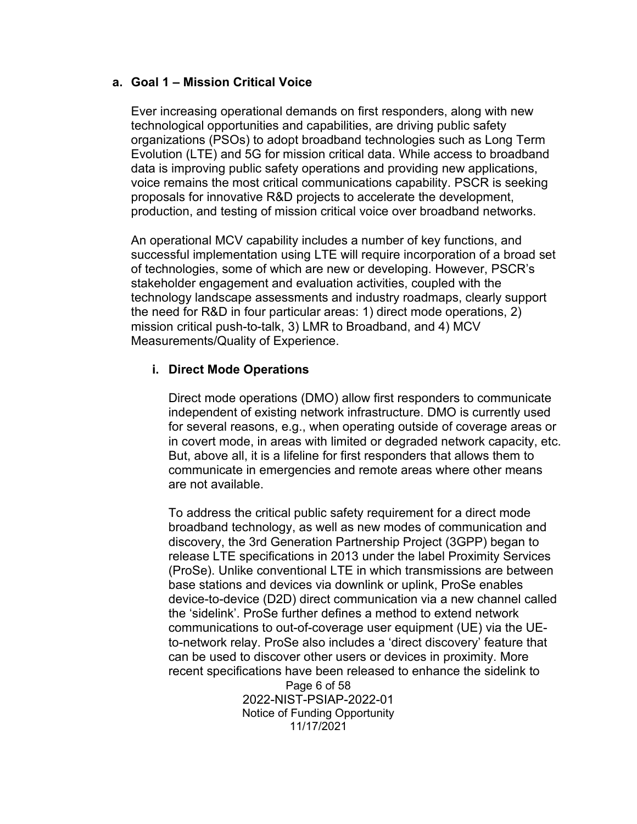#### **a. Goal 1 – Mission Critical Voice**

Ever increasing operational demands on first responders, along with new technological opportunities and capabilities, are driving public safety organizations (PSOs) to adopt broadband technologies such as Long Term Evolution (LTE) and 5G for mission critical data. While access to broadband data is improving public safety operations and providing new applications, voice remains the most critical communications capability. PSCR is seeking proposals for innovative R&D projects to accelerate the development, production, and testing of mission critical voice over broadband networks.

An operational MCV capability includes a number of key functions, and successful implementation using LTE will require incorporation of a broad set of technologies, some of which are new or developing. However, PSCR's stakeholder engagement and evaluation activities, coupled with the technology landscape assessments and industry roadmaps, clearly support the need for R&D in four particular areas: 1) direct mode operations, 2) mission critical push-to-talk, 3) LMR to Broadband, and 4) MCV Measurements/Quality of Experience.

#### **i. Direct Mode Operations**

Direct mode operations (DMO) allow first responders to communicate independent of existing network infrastructure. DMO is currently used for several reasons, e.g., when operating outside of coverage areas or in covert mode, in areas with limited or degraded network capacity, etc. But, above all, it is a lifeline for first responders that allows them to communicate in emergencies and remote areas where other means are not available.

To address the critical public safety requirement for a direct mode broadband technology, as well as new modes of communication and discovery, the 3rd Generation Partnership Project (3GPP) began to release LTE specifications in 2013 under the label Proximity Services (ProSe). Unlike conventional LTE in which transmissions are between base stations and devices via downlink or uplink, ProSe enables device-to-device (D2D) direct communication via a new channel called the 'sidelink'. ProSe further defines a method to extend network communications to out-of-coverage user equipment (UE) via the UEto-network relay. ProSe also includes a 'direct discovery' feature that can be used to discover other users or devices in proximity. More recent specifications have been released to enhance the sidelink to

Page 6 of 58 2022-NIST-PSIAP-2022-01 Notice of Funding Opportunity 11/17/2021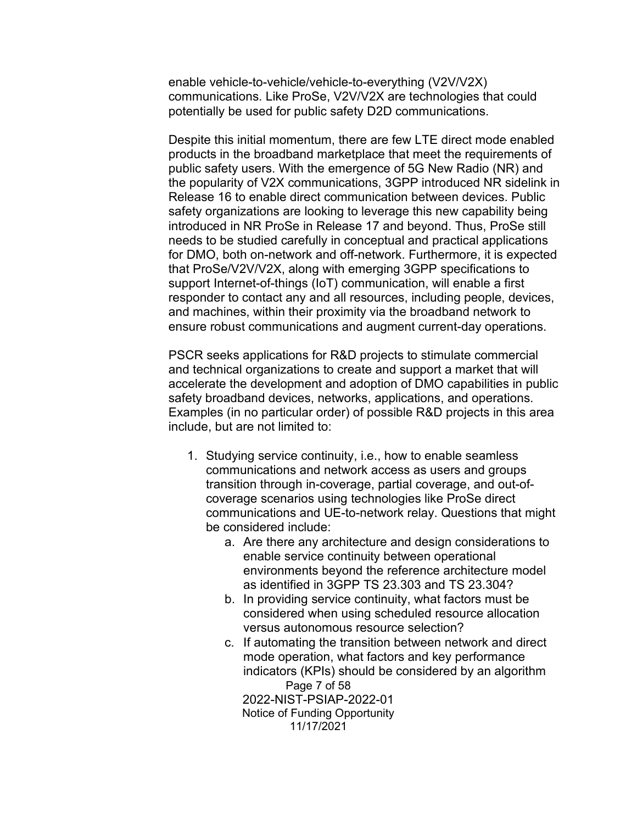enable vehicle-to-vehicle/vehicle-to-everything (V2V/V2X) communications. Like ProSe, V2V/V2X are technologies that could potentially be used for public safety D2D communications.

Despite this initial momentum, there are few LTE direct mode enabled products in the broadband marketplace that meet the requirements of public safety users. With the emergence of 5G New Radio (NR) and the popularity of V2X communications, 3GPP introduced NR sidelink in Release 16 to enable direct communication between devices. Public safety organizations are looking to leverage this new capability being introduced in NR ProSe in Release 17 and beyond. Thus, ProSe still needs to be studied carefully in conceptual and practical applications for DMO, both on-network and off-network. Furthermore, it is expected that ProSe/V2V/V2X, along with emerging 3GPP specifications to support Internet-of-things (IoT) communication, will enable a first responder to contact any and all resources, including people, devices, and machines, within their proximity via the broadband network to ensure robust communications and augment current-day operations.

PSCR seeks applications for R&D projects to stimulate commercial and technical organizations to create and support a market that will accelerate the development and adoption of DMO capabilities in public safety broadband devices, networks, applications, and operations. Examples (in no particular order) of possible R&D projects in this area include, but are not limited to:

- 1. Studying service continuity, i.e., how to enable seamless communications and network access as users and groups transition through in-coverage, partial coverage, and out-ofcoverage scenarios using technologies like ProSe direct communications and UE-to-network relay. Questions that might be considered include:
	- a. Are there any architecture and design considerations to enable service continuity between operational environments beyond the reference architecture model as identified in 3GPP TS 23.303 and TS 23.304?
	- b. In providing service continuity, what factors must be considered when using scheduled resource allocation versus autonomous resource selection?
	- Page 7 of 58 2022-NIST-PSIAP-2022-01 c. If automating the transition between network and direct mode operation, what factors and key performance indicators (KPIs) should be considered by an algorithm

Notice of Funding Opportunity 11/17/2021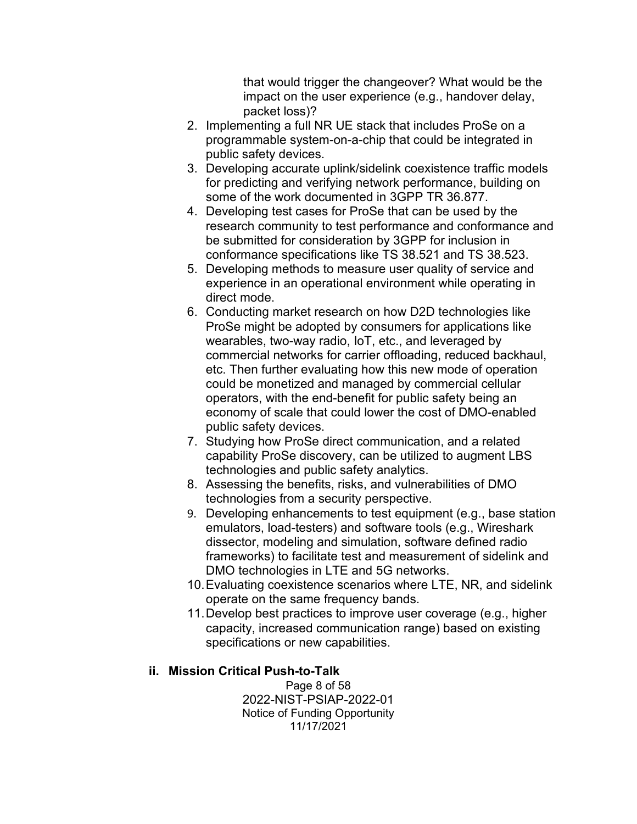that would trigger the changeover? What would be the impact on the user experience (e.g., handover delay, packet loss)?

- 2. Implementing a full NR UE stack that includes ProSe on a programmable system-on-a-chip that could be integrated in public safety devices.
- 3. Developing accurate uplink/sidelink coexistence traffic models for predicting and verifying network performance, building on some of the work documented in 3GPP TR 36.877.
- 4. Developing test cases for ProSe that can be used by the research community to test performance and conformance and be submitted for consideration by 3GPP for inclusion in conformance specifications like TS 38.521 and TS 38.523.
- 5. Developing methods to measure user quality of service and experience in an operational environment while operating in direct mode.
- 6. Conducting market research on how D2D technologies like ProSe might be adopted by consumers for applications like wearables, two-way radio, IoT, etc., and leveraged by commercial networks for carrier offloading, reduced backhaul, etc. Then further evaluating how this new mode of operation could be monetized and managed by commercial cellular operators, with the end-benefit for public safety being an economy of scale that could lower the cost of DMO-enabled public safety devices.
- 7. Studying how ProSe direct communication, and a related capability ProSe discovery, can be utilized to augment LBS technologies and public safety analytics.
- 8. Assessing the benefits, risks, and vulnerabilities of DMO technologies from a security perspective.
- 9. Developing enhancements to test equipment (e.g., base station emulators, load-testers) and software tools (e.g., Wireshark dissector, modeling and simulation, software defined radio frameworks) to facilitate test and measurement of sidelink and DMO technologies in LTE and 5G networks.
- 10.Evaluating coexistence scenarios where LTE, NR, and sidelink operate on the same frequency bands.
- 11.Develop best practices to improve user coverage (e.g., higher capacity, increased communication range) based on existing specifications or new capabilities.

## **ii. Mission Critical Push-to-Talk**

Page 8 of 58 2022-NIST-PSIAP-2022-01 Notice of Funding Opportunity 11/17/2021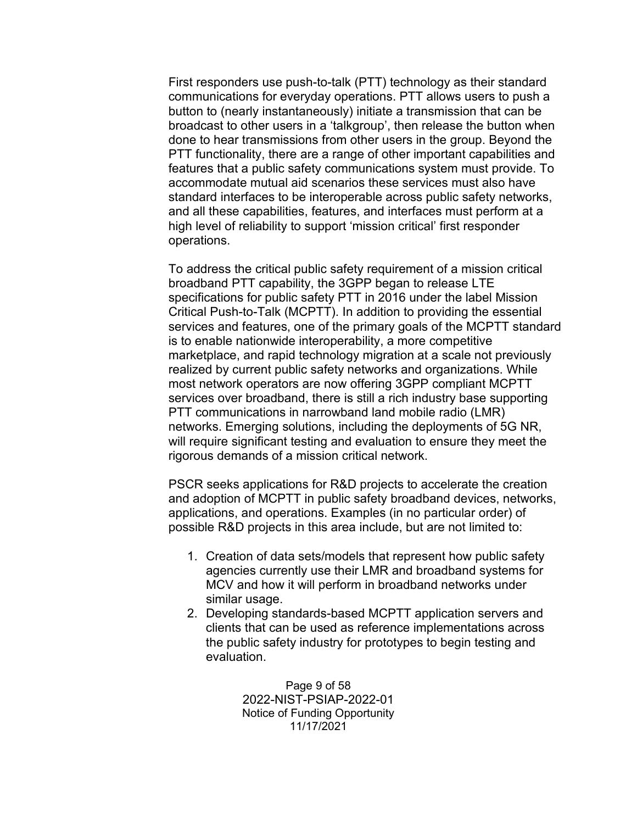First responders use push-to-talk (PTT) technology as their standard communications for everyday operations. PTT allows users to push a button to (nearly instantaneously) initiate a transmission that can be broadcast to other users in a 'talkgroup', then release the button when done to hear transmissions from other users in the group. Beyond the PTT functionality, there are a range of other important capabilities and features that a public safety communications system must provide. To accommodate mutual aid scenarios these services must also have standard interfaces to be interoperable across public safety networks, and all these capabilities, features, and interfaces must perform at a high level of reliability to support 'mission critical' first responder operations.

To address the critical public safety requirement of a mission critical broadband PTT capability, the 3GPP began to release LTE specifications for public safety PTT in 2016 under the label Mission Critical Push-to-Talk (MCPTT). In addition to providing the essential services and features, one of the primary goals of the MCPTT standard is to enable nationwide interoperability, a more competitive marketplace, and rapid technology migration at a scale not previously realized by current public safety networks and organizations. While most network operators are now offering 3GPP compliant MCPTT services over broadband, there is still a rich industry base supporting PTT communications in narrowband land mobile radio (LMR) networks. Emerging solutions, including the deployments of 5G NR, will require significant testing and evaluation to ensure they meet the rigorous demands of a mission critical network.

PSCR seeks applications for R&D projects to accelerate the creation and adoption of MCPTT in public safety broadband devices, networks, applications, and operations. Examples (in no particular order) of possible R&D projects in this area include, but are not limited to:

- 1. Creation of data sets/models that represent how public safety agencies currently use their LMR and broadband systems for MCV and how it will perform in broadband networks under similar usage.
- 2. Developing standards-based MCPTT application servers and clients that can be used as reference implementations across the public safety industry for prototypes to begin testing and evaluation.

Page 9 of 58 2022-NIST-PSIAP-2022-01 Notice of Funding Opportunity 11/17/2021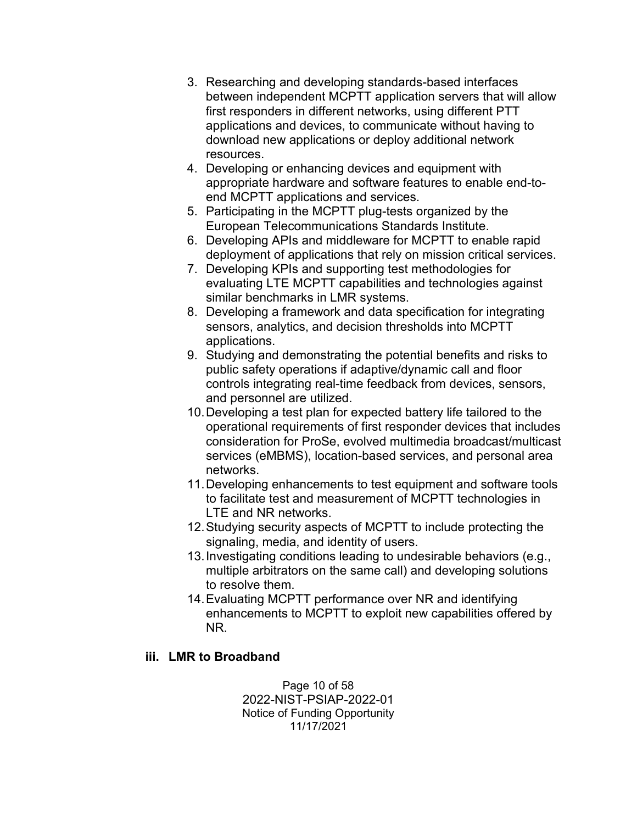- 3. Researching and developing standards-based interfaces between independent MCPTT application servers that will allow first responders in different networks, using different PTT applications and devices, to communicate without having to download new applications or deploy additional network resources.
- 4. Developing or enhancing devices and equipment with appropriate hardware and software features to enable end-toend MCPTT applications and services.
- 5. Participating in the MCPTT plug-tests organized by the European Telecommunications Standards Institute.
- 6. Developing APIs and middleware for MCPTT to enable rapid deployment of applications that rely on mission critical services.
- 7. Developing KPIs and supporting test methodologies for evaluating LTE MCPTT capabilities and technologies against similar benchmarks in LMR systems.
- 8. Developing a framework and data specification for integrating sensors, analytics, and decision thresholds into MCPTT applications.
- 9. Studying and demonstrating the potential benefits and risks to public safety operations if adaptive/dynamic call and floor controls integrating real-time feedback from devices, sensors, and personnel are utilized.
- 10.Developing a test plan for expected battery life tailored to the operational requirements of first responder devices that includes consideration for ProSe, evolved multimedia broadcast/multicast services (eMBMS), location-based services, and personal area networks.
- 11.Developing enhancements to test equipment and software tools to facilitate test and measurement of MCPTT technologies in LTE and NR networks.
- 12.Studying security aspects of MCPTT to include protecting the signaling, media, and identity of users.
- 13.Investigating conditions leading to undesirable behaviors (e.g., multiple arbitrators on the same call) and developing solutions to resolve them.
- 14.Evaluating MCPTT performance over NR and identifying enhancements to MCPTT to exploit new capabilities offered by NR.

## **iii. LMR to Broadband**

Page 10 of 58 2022-NIST-PSIAP-2022-01 Notice of Funding Opportunity 11/17/2021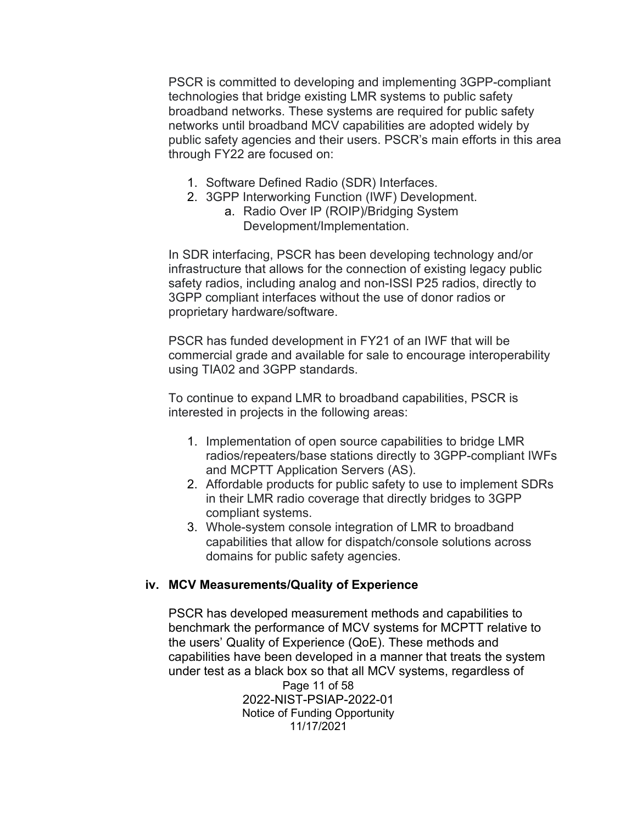PSCR is committed to developing and implementing 3GPP-compliant technologies that bridge existing LMR systems to public safety broadband networks. These systems are required for public safety networks until broadband MCV capabilities are adopted widely by public safety agencies and their users. PSCR's main efforts in this area through FY22 are focused on:

- 1. Software Defined Radio (SDR) Interfaces.
- 2. 3GPP Interworking Function (IWF) Development.
	- a. Radio Over IP (ROIP)/Bridging System Development/Implementation.

In SDR interfacing, PSCR has been developing technology and/or infrastructure that allows for the connection of existing legacy public safety radios, including analog and non-ISSI P25 radios, directly to 3GPP compliant interfaces without the use of donor radios or proprietary hardware/software.

PSCR has funded development in FY21 of an IWF that will be commercial grade and available for sale to encourage interoperability using TIA02 and 3GPP standards.

To continue to expand LMR to broadband capabilities, PSCR is interested in projects in the following areas:

- 1. Implementation of open source capabilities to bridge LMR radios/repeaters/base stations directly to 3GPP-compliant IWFs and MCPTT Application Servers (AS).
- 2. Affordable products for public safety to use to implement SDRs in their LMR radio coverage that directly bridges to 3GPP compliant systems.
- 3. Whole-system console integration of LMR to broadband capabilities that allow for dispatch/console solutions across domains for public safety agencies.

## **iv. MCV Measurements/Quality of Experience**

PSCR has developed measurement methods and capabilities to benchmark the performance of MCV systems for MCPTT relative to the users' Quality of Experience (QoE). These methods and capabilities have been developed in a manner that treats the system under test as a black box so that all MCV systems, regardless of

Page 11 of 58 2022-NIST-PSIAP-2022-01 Notice of Funding Opportunity 11/17/2021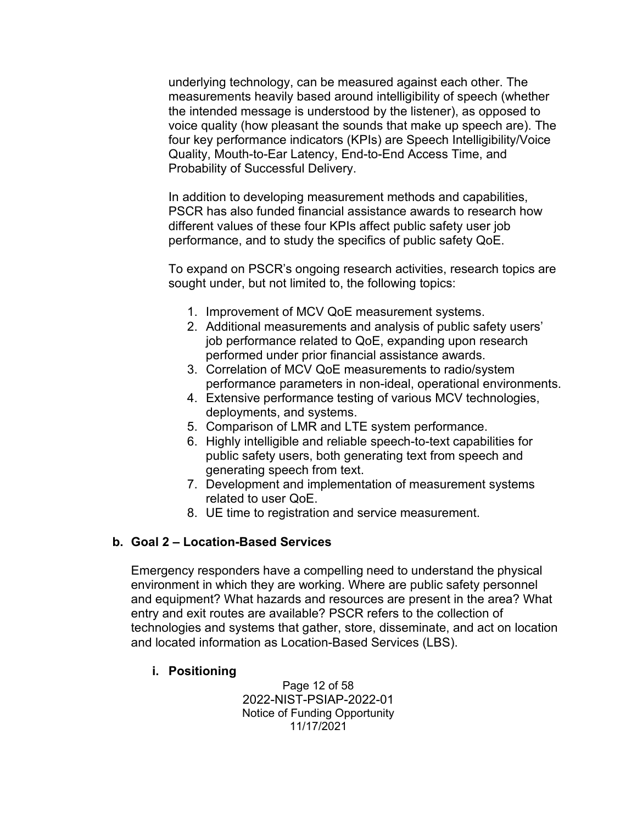underlying technology, can be measured against each other. The measurements heavily based around intelligibility of speech (whether the intended message is understood by the listener), as opposed to voice quality (how pleasant the sounds that make up speech are). The four key performance indicators (KPIs) are Speech Intelligibility/Voice Quality, Mouth-to-Ear Latency, End-to-End Access Time, and Probability of Successful Delivery.

In addition to developing measurement methods and capabilities, PSCR has also funded financial assistance awards to research how different values of these four KPIs affect public safety user job performance, and to study the specifics of public safety QoE.

To expand on PSCR's ongoing research activities, research topics are sought under, but not limited to, the following topics:

- 1. Improvement of MCV QoE measurement systems.
- 2. Additional measurements and analysis of public safety users' job performance related to QoE, expanding upon research performed under prior financial assistance awards.
- 3. Correlation of MCV QoE measurements to radio/system performance parameters in non-ideal, operational environments.
- 4. Extensive performance testing of various MCV technologies, deployments, and systems.
- 5. Comparison of LMR and LTE system performance.
- 6. Highly intelligible and reliable speech-to-text capabilities for public safety users, both generating text from speech and generating speech from text.
- 7. Development and implementation of measurement systems related to user QoE.
- 8. UE time to registration and service measurement.

## **b. Goal 2 – Location-Based Services**

Emergency responders have a compelling need to understand the physical environment in which they are working. Where are public safety personnel and equipment? What hazards and resources are present in the area? What entry and exit routes are available? PSCR refers to the collection of technologies and systems that gather, store, disseminate, and act on location and located information as Location-Based Services (LBS).

#### **i. Positioning**

Page 12 of 58 2022-NIST-PSIAP-2022-01 Notice of Funding Opportunity 11/17/2021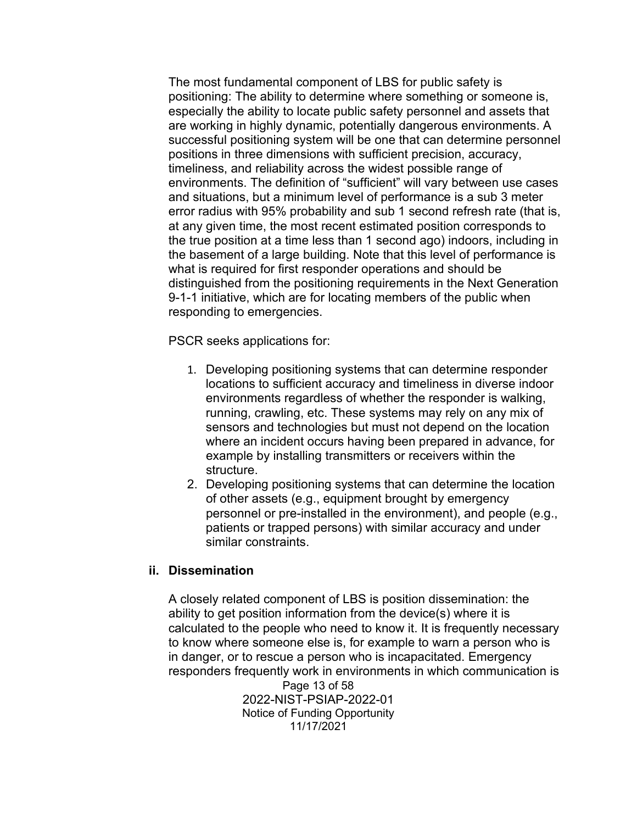The most fundamental component of LBS for public safety is positioning: The ability to determine where something or someone is, especially the ability to locate public safety personnel and assets that are working in highly dynamic, potentially dangerous environments. A successful positioning system will be one that can determine personnel positions in three dimensions with sufficient precision, accuracy, timeliness, and reliability across the widest possible range of environments. The definition of "sufficient" will vary between use cases and situations, but a minimum level of performance is a sub 3 meter error radius with 95% probability and sub 1 second refresh rate (that is, at any given time, the most recent estimated position corresponds to the true position at a time less than 1 second ago) indoors, including in the basement of a large building. Note that this level of performance is what is required for first responder operations and should be distinguished from the positioning requirements in the Next Generation 9-1-1 initiative, which are for locating members of the public when responding to emergencies.

PSCR seeks applications for:

- 1. Developing positioning systems that can determine responder locations to sufficient accuracy and timeliness in diverse indoor environments regardless of whether the responder is walking, running, crawling, etc. These systems may rely on any mix of sensors and technologies but must not depend on the location where an incident occurs having been prepared in advance, for example by installing transmitters or receivers within the structure.
- 2. Developing positioning systems that can determine the location of other assets (e.g., equipment brought by emergency personnel or pre-installed in the environment), and people (e.g., patients or trapped persons) with similar accuracy and under similar constraints.

#### **ii. Dissemination**

Page 13 of 58 2022-NIST-PSIAP-2022-01 Notice of Funding Opportunity 11/17/2021 A closely related component of LBS is position dissemination: the ability to get position information from the device(s) where it is calculated to the people who need to know it. It is frequently necessary to know where someone else is, for example to warn a person who is in danger, or to rescue a person who is incapacitated. Emergency responders frequently work in environments in which communication is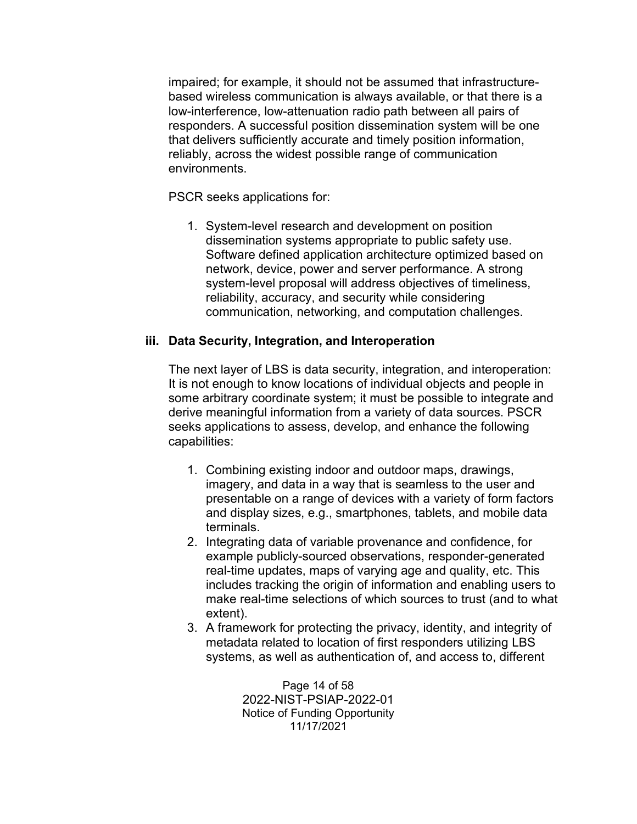impaired; for example, it should not be assumed that infrastructurebased wireless communication is always available, or that there is a low-interference, low-attenuation radio path between all pairs of responders. A successful position dissemination system will be one that delivers sufficiently accurate and timely position information, reliably, across the widest possible range of communication environments.

PSCR seeks applications for:

1. System-level research and development on position dissemination systems appropriate to public safety use. Software defined application architecture optimized based on network, device, power and server performance. A strong system-level proposal will address objectives of timeliness, reliability, accuracy, and security while considering communication, networking, and computation challenges.

#### **iii. Data Security, Integration, and Interoperation**

The next layer of LBS is data security, integration, and interoperation: It is not enough to know locations of individual objects and people in some arbitrary coordinate system; it must be possible to integrate and derive meaningful information from a variety of data sources. PSCR seeks applications to assess, develop, and enhance the following capabilities:

- 1. Combining existing indoor and outdoor maps, drawings, imagery, and data in a way that is seamless to the user and presentable on a range of devices with a variety of form factors and display sizes, e.g., smartphones, tablets, and mobile data terminals.
- 2. Integrating data of variable provenance and confidence, for example publicly-sourced observations, responder-generated real-time updates, maps of varying age and quality, etc. This includes tracking the origin of information and enabling users to make real-time selections of which sources to trust (and to what extent).
- 3. A framework for protecting the privacy, identity, and integrity of metadata related to location of first responders utilizing LBS systems, as well as authentication of, and access to, different

Page 14 of 58 2022-NIST-PSIAP-2022-01 Notice of Funding Opportunity 11/17/2021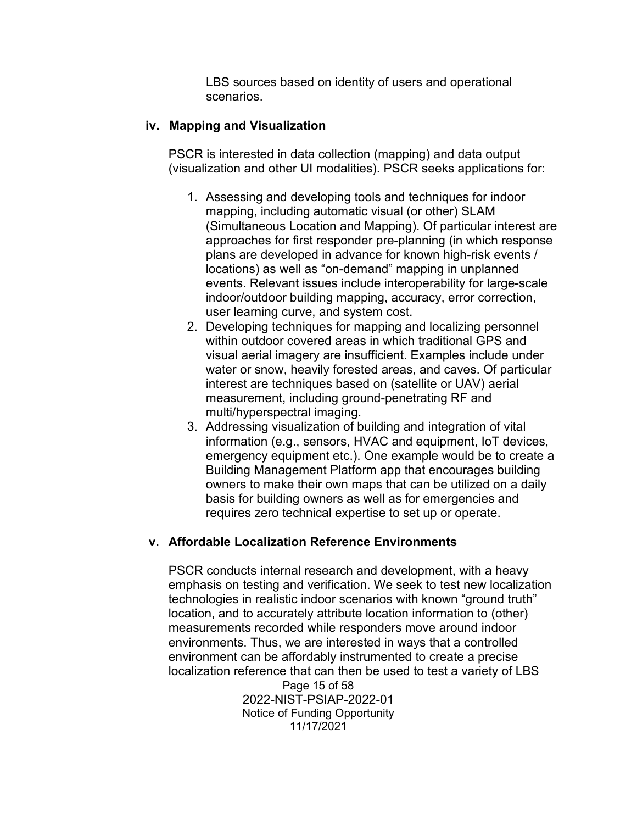LBS sources based on identity of users and operational scenarios.

#### **iv. Mapping and Visualization**

PSCR is interested in data collection (mapping) and data output (visualization and other UI modalities). PSCR seeks applications for:

- 1. Assessing and developing tools and techniques for indoor mapping, including automatic visual (or other) SLAM (Simultaneous Location and Mapping). Of particular interest are approaches for first responder pre-planning (in which response plans are developed in advance for known high-risk events / locations) as well as "on-demand" mapping in unplanned events. Relevant issues include interoperability for large-scale indoor/outdoor building mapping, accuracy, error correction, user learning curve, and system cost.
- 2. Developing techniques for mapping and localizing personnel within outdoor covered areas in which traditional GPS and visual aerial imagery are insufficient. Examples include under water or snow, heavily forested areas, and caves. Of particular interest are techniques based on (satellite or UAV) aerial measurement, including ground-penetrating RF and multi/hyperspectral imaging.
- 3. Addressing visualization of building and integration of vital information (e.g., sensors, HVAC and equipment, IoT devices, emergency equipment etc.). One example would be to create a Building Management Platform app that encourages building owners to make their own maps that can be utilized on a daily basis for building owners as well as for emergencies and requires zero technical expertise to set up or operate.

#### **v. Affordable Localization Reference Environments**

PSCR conducts internal research and development, with a heavy emphasis on testing and verification. We seek to test new localization technologies in realistic indoor scenarios with known "ground truth" location, and to accurately attribute location information to (other) measurements recorded while responders move around indoor environments. Thus, we are interested in ways that a controlled environment can be affordably instrumented to create a precise localization reference that can then be used to test a variety of LBS

Page 15 of 58 2022-NIST-PSIAP-2022-01 Notice of Funding Opportunity 11/17/2021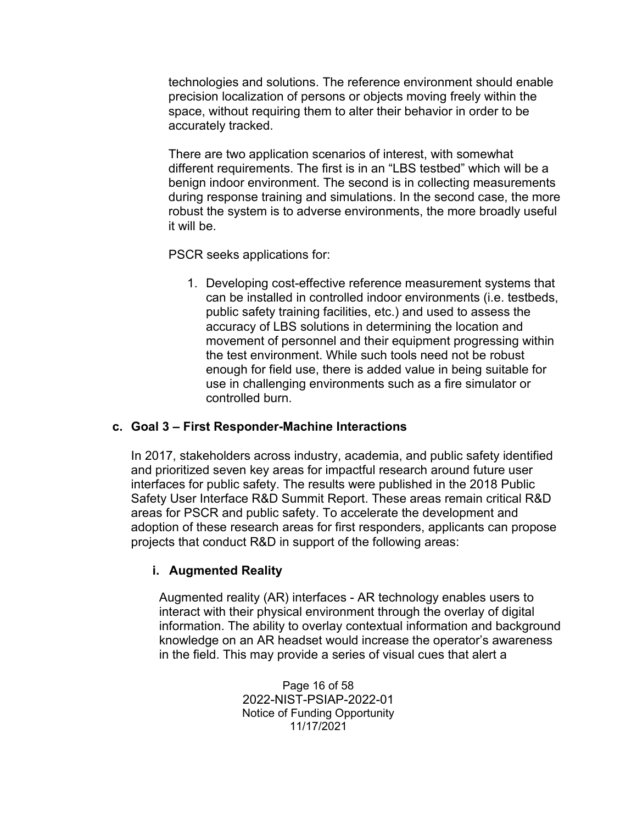technologies and solutions. The reference environment should enable precision localization of persons or objects moving freely within the space, without requiring them to alter their behavior in order to be accurately tracked.

There are two application scenarios of interest, with somewhat different requirements. The first is in an "LBS testbed" which will be a benign indoor environment. The second is in collecting measurements during response training and simulations. In the second case, the more robust the system is to adverse environments, the more broadly useful it will be.

PSCR seeks applications for:

1. Developing cost-effective reference measurement systems that can be installed in controlled indoor environments (i.e. testbeds, public safety training facilities, etc.) and used to assess the accuracy of LBS solutions in determining the location and movement of personnel and their equipment progressing within the test environment. While such tools need not be robust enough for field use, there is added value in being suitable for use in challenging environments such as a fire simulator or controlled burn.

#### **c. Goal 3 – First Responder-Machine Interactions**

In 2017, stakeholders across industry, academia, and public safety identified and prioritized seven key areas for impactful research around future user interfaces for public safety. The results were published in the 2018 Public Safety User Interface R&D Summit Report. These areas remain critical R&D areas for PSCR and public safety. To accelerate the development and adoption of these research areas for first responders, applicants can propose projects that conduct R&D in support of the following areas:

## **i. Augmented Reality**

Augmented reality (AR) interfaces - AR technology enables users to interact with their physical environment through the overlay of digital information. The ability to overlay contextual information and background knowledge on an AR headset would increase the operator's awareness in the field. This may provide a series of visual cues that alert a

> Page 16 of 58 2022-NIST-PSIAP-2022-01 Notice of Funding Opportunity 11/17/2021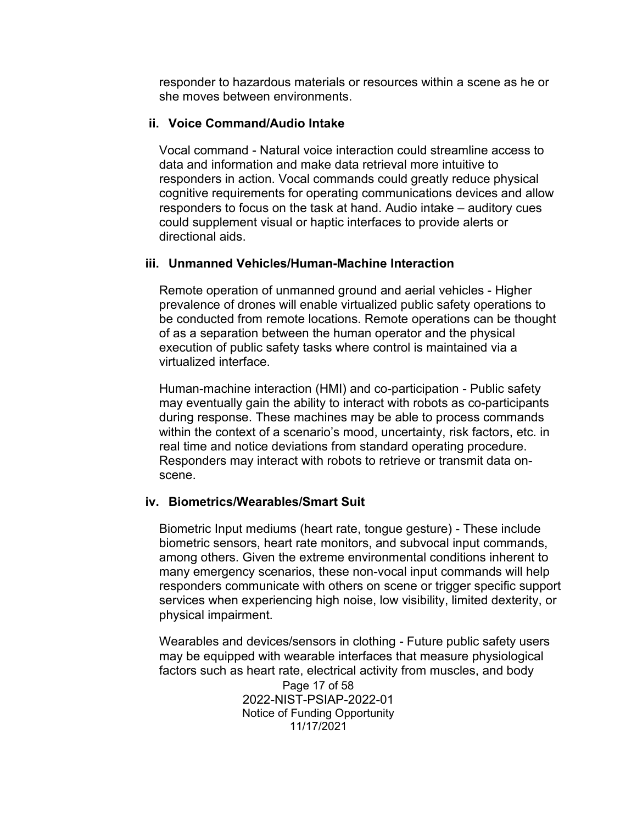responder to hazardous materials or resources within a scene as he or she moves between environments.

#### **ii. Voice Command/Audio Intake**

Vocal command - Natural voice interaction could streamline access to data and information and make data retrieval more intuitive to responders in action. Vocal commands could greatly reduce physical cognitive requirements for operating communications devices and allow responders to focus on the task at hand. Audio intake – auditory cues could supplement visual or haptic interfaces to provide alerts or directional aids.

#### **iii. Unmanned Vehicles/Human-Machine Interaction**

Remote operation of unmanned ground and aerial vehicles - Higher prevalence of drones will enable virtualized public safety operations to be conducted from remote locations. Remote operations can be thought of as a separation between the human operator and the physical execution of public safety tasks where control is maintained via a virtualized interface.

Human-machine interaction (HMI) and co-participation - Public safety may eventually gain the ability to interact with robots as co-participants during response. These machines may be able to process commands within the context of a scenario's mood, uncertainty, risk factors, etc. in real time and notice deviations from standard operating procedure. Responders may interact with robots to retrieve or transmit data onscene.

#### **iv. Biometrics/Wearables/Smart Suit**

Biometric Input mediums (heart rate, tongue gesture) - These include biometric sensors, heart rate monitors, and subvocal input commands, among others. Given the extreme environmental conditions inherent to many emergency scenarios, these non-vocal input commands will help responders communicate with others on scene or trigger specific support services when experiencing high noise, low visibility, limited dexterity, or physical impairment.

Page 17 of 58 2022-NIST-PSIAP-2022-01 Notice of Funding Opportunity Wearables and devices/sensors in clothing - Future public safety users may be equipped with wearable interfaces that measure physiological factors such as heart rate, electrical activity from muscles, and body

11/17/2021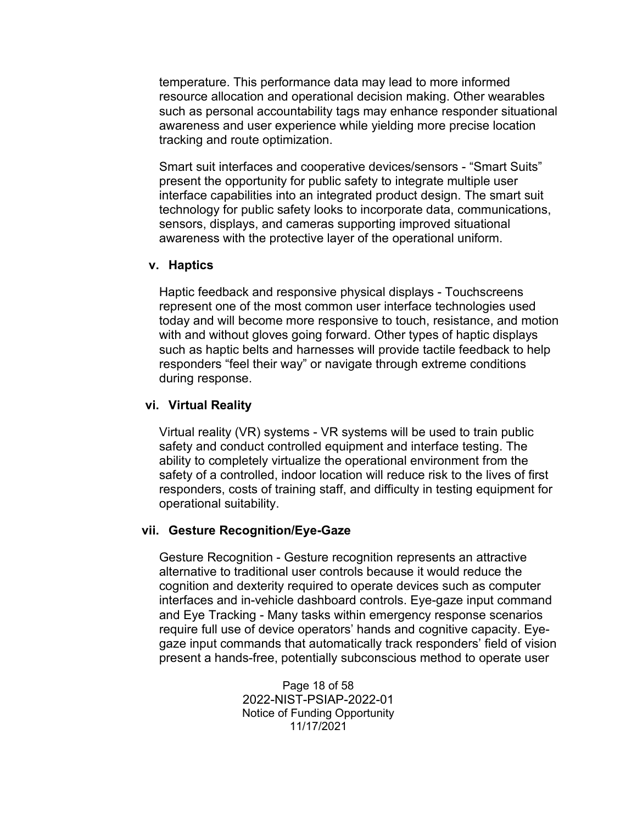temperature. This performance data may lead to more informed resource allocation and operational decision making. Other wearables such as personal accountability tags may enhance responder situational awareness and user experience while yielding more precise location tracking and route optimization.

Smart suit interfaces and cooperative devices/sensors - "Smart Suits" present the opportunity for public safety to integrate multiple user interface capabilities into an integrated product design. The smart suit technology for public safety looks to incorporate data, communications, sensors, displays, and cameras supporting improved situational awareness with the protective layer of the operational uniform.

#### **v. Haptics**

Haptic feedback and responsive physical displays - Touchscreens represent one of the most common user interface technologies used today and will become more responsive to touch, resistance, and motion with and without gloves going forward. Other types of haptic displays such as haptic belts and harnesses will provide tactile feedback to help responders "feel their way" or navigate through extreme conditions during response.

#### **vi. Virtual Reality**

Virtual reality (VR) systems - VR systems will be used to train public safety and conduct controlled equipment and interface testing. The ability to completely virtualize the operational environment from the safety of a controlled, indoor location will reduce risk to the lives of first responders, costs of training staff, and difficulty in testing equipment for operational suitability.

#### **vii. Gesture Recognition/Eye-Gaze**

Gesture Recognition - Gesture recognition represents an attractive alternative to traditional user controls because it would reduce the cognition and dexterity required to operate devices such as computer interfaces and in-vehicle dashboard controls. Eye-gaze input command and Eye Tracking - Many tasks within emergency response scenarios require full use of device operators' hands and cognitive capacity. Eyegaze input commands that automatically track responders' field of vision present a hands-free, potentially subconscious method to operate user

> Page 18 of 58 2022-NIST-PSIAP-2022-01 Notice of Funding Opportunity 11/17/2021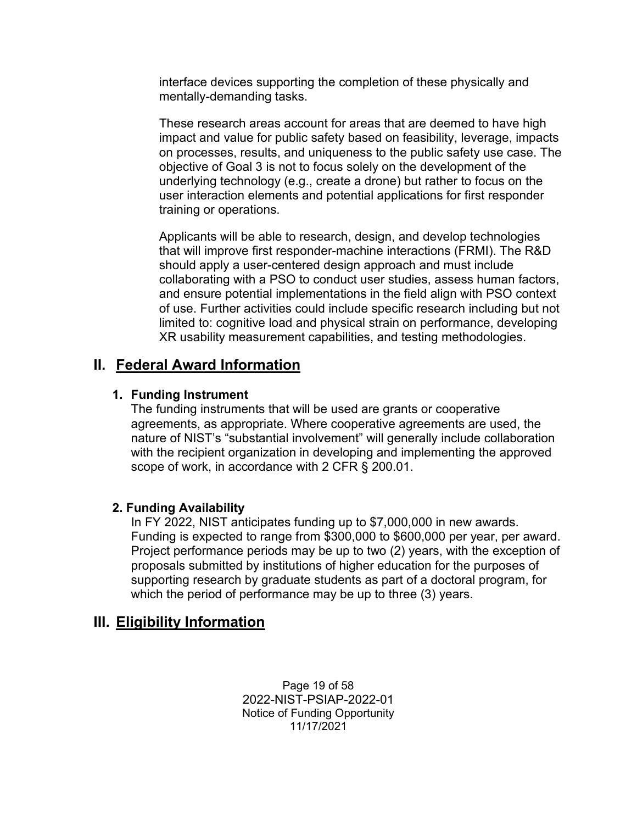interface devices supporting the completion of these physically and mentally-demanding tasks.

These research areas account for areas that are deemed to have high impact and value for public safety based on feasibility, leverage, impacts on processes, results, and uniqueness to the public safety use case. The objective of Goal 3 is not to focus solely on the development of the underlying technology (e.g., create a drone) but rather to focus on the user interaction elements and potential applications for first responder training or operations.

Applicants will be able to research, design, and develop technologies that will improve first responder-machine interactions (FRMI). The R&D should apply a user-centered design approach and must include collaborating with a PSO to conduct user studies, assess human factors, and ensure potential implementations in the field align with PSO context of use. Further activities could include specific research including but not limited to: cognitive load and physical strain on performance, developing XR usability measurement capabilities, and testing methodologies.

# <span id="page-18-0"></span>**II. Federal Award Information**

#### **1. Funding Instrument**

The funding instruments that will be used are grants or cooperative agreements, as appropriate. Where cooperative agreements are used, the nature of NIST's "substantial involvement" will generally include collaboration with the recipient organization in developing and implementing the approved scope of work, in accordance with 2 CFR § 200.01.

#### **2. Funding Availability**

In FY 2022, NIST anticipates funding up to \$7,000,000 in new awards. Funding is expected to range from \$300,000 to \$600,000 per year, per award. Project performance periods may be up to two (2) years, with the exception of proposals submitted by institutions of higher education for the purposes of supporting research by graduate students as part of a doctoral program, for which the period of performance may be up to three (3) years.

# <span id="page-18-1"></span>**III. Eligibility Information**

Page 19 of 58 2022-NIST-PSIAP-2022-01 Notice of Funding Opportunity 11/17/2021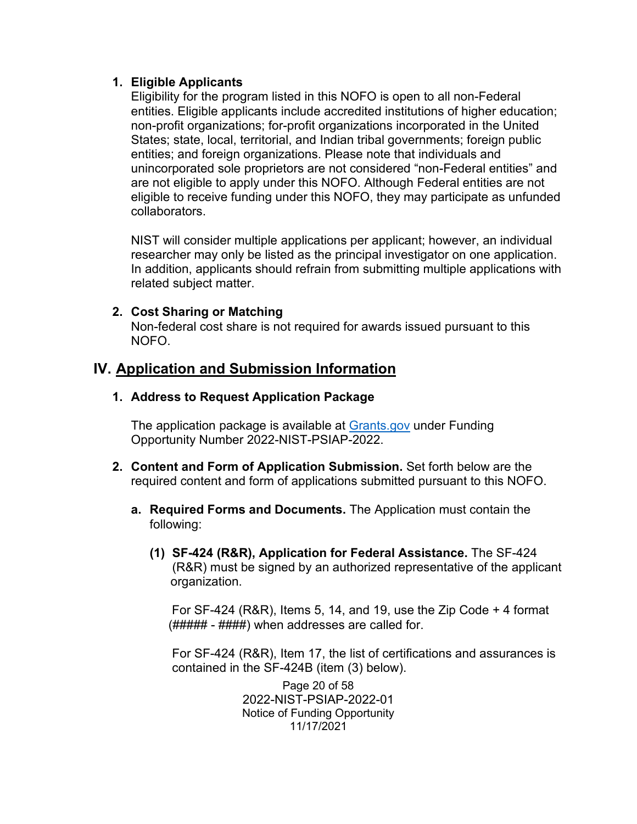#### **1. Eligible Applicants**

Eligibility for the program listed in this NOFO is open to all non-Federal entities. Eligible applicants include accredited institutions of higher education; non-profit organizations; for-profit organizations incorporated in the United States; state, local, territorial, and Indian tribal governments; foreign public entities; and foreign organizations. Please note that individuals and unincorporated sole proprietors are not considered "non-Federal entities" and are not eligible to apply under this NOFO. Although Federal entities are not eligible to receive funding under this NOFO, they may participate as unfunded collaborators.

NIST will consider multiple applications per applicant; however, an individual researcher may only be listed as the principal investigator on one application. In addition, applicants should refrain from submitting multiple applications with related subject matter.

#### **2. Cost Sharing or Matching**

Non-federal cost share is not required for awards issued pursuant to this NOFO.

## <span id="page-19-0"></span>**IV. Application and Submission Information**

#### **1. Address to Request Application Package**

The application package is available at [Grants.gov](http://www.grants.gov/) under Funding Opportunity Number 2022-NIST-PSIAP-2022.

- **2. Content and Form of Application Submission.** Set forth below are the required content and form of applications submitted pursuant to this NOFO.
	- **a. Required Forms and Documents.** The Application must contain the following:
		- **(1) SF-424 (R&R), Application for Federal Assistance.** The SF-424 (R&R) must be signed by an authorized representative of the applicant organization.

For SF-424 (R&R), Items 5, 14, and 19, use the Zip Code + 4 format  $(H\# \# \# \# \# \# \#)$  when addresses are called for.

For SF-424 (R&R), Item 17, the list of certifications and assurances is contained in the SF-424B (item (3) below).

> Page 20 of 58 2022-NIST-PSIAP-2022-01 Notice of Funding Opportunity 11/17/2021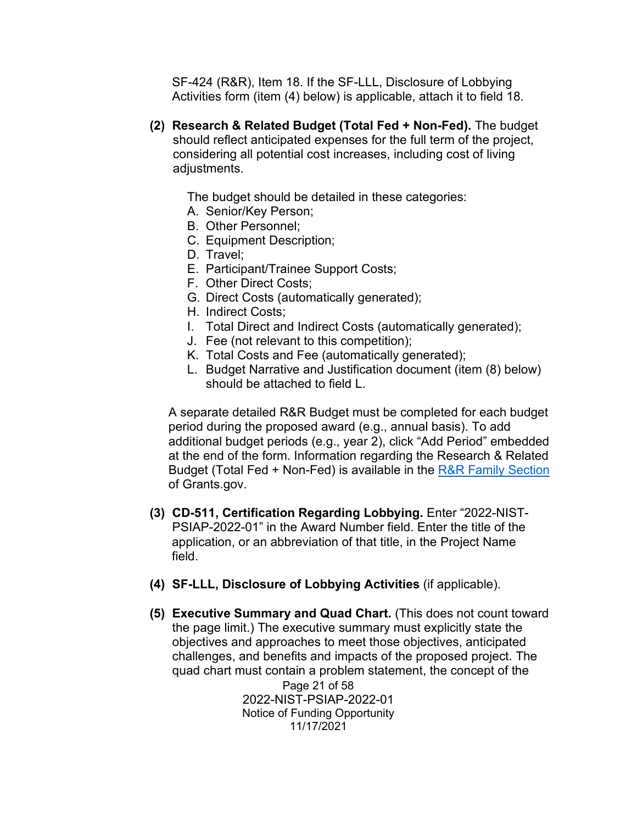SF-424 (R&R), Item 18. If the SF-LLL, Disclosure of Lobbying Activities form (item (4) below) is applicable, attach it to field 18.

**(2) Research & Related Budget (Total Fed + Non-Fed).** The budget should reflect anticipated expenses for the full term of the project, considering all potential cost increases, including cost of living adjustments.

The budget should be detailed in these categories:

- A. Senior/Key Person;
- B. Other Personnel;
- C. Equipment Description;
- D. Travel;
- E. Participant/Trainee Support Costs;
- F. Other Direct Costs;
- G. Direct Costs (automatically generated);
- H. Indirect Costs;
- I. Total Direct and Indirect Costs (automatically generated);
- J. Fee (not relevant to this competition);
- K. Total Costs and Fee (automatically generated);
- L. Budget Narrative and Justification document (item (8) below) should be attached to field L.

A separate detailed R&R Budget must be completed for each budget period during the proposed award (e.g., annual basis). To add additional budget periods (e.g., year 2), click "Add Period" embedded at the end of the form. Information regarding the Research & Related Budget (Total Fed + Non-Fed) is available in the [R&R Family Section](https://www.grants.gov/forms/r-r-family.html) of Grants.gov.

- **(3) CD-511, Certification Regarding Lobbying.** Enter "2022-NIST-PSIAP-2022-01" in the Award Number field. Enter the title of the application, or an abbreviation of that title, in the Project Name field.
- **(4) SF-LLL, Disclosure of Lobbying Activities** (if applicable).
- **(5) Executive Summary and Quad Chart.** (This does not count toward the page limit.) The executive summary must explicitly state the objectives and approaches to meet those objectives, anticipated challenges, and benefits and impacts of the proposed project. The quad chart must contain a problem statement, the concept of the

Page 21 of 58 2022-NIST-PSIAP-2022-01 Notice of Funding Opportunity 11/17/2021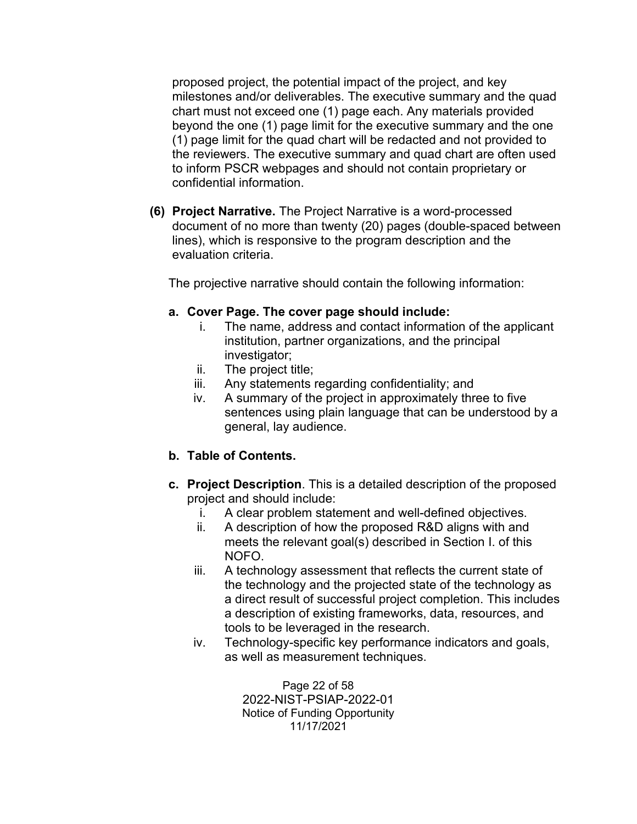proposed project, the potential impact of the project, and key milestones and/or deliverables. The executive summary and the quad chart must not exceed one (1) page each. Any materials provided beyond the one (1) page limit for the executive summary and the one (1) page limit for the quad chart will be redacted and not provided to the reviewers. The executive summary and quad chart are often used to inform PSCR webpages and should not contain proprietary or confidential information.

**(6) Project Narrative.** The Project Narrative is a word-processed document of no more than twenty (20) pages (double-spaced between lines), which is responsive to the program description and the evaluation criteria.

The projective narrative should contain the following information:

#### **a. Cover Page. The cover page should include:**

- i. The name, address and contact information of the applicant institution, partner organizations, and the principal investigator;
- ii. The project title;
- iii. Any statements regarding confidentiality; and
- iv. A summary of the project in approximately three to five sentences using plain language that can be understood by a general, lay audience.
- **b. Table of Contents.**
- **c. Project Description**. This is a detailed description of the proposed project and should include:
	- i. A clear problem statement and well-defined objectives.
	- ii. A description of how the proposed R&D aligns with and meets the relevant goal(s) described in Section I. of this NOFO.
	- iii. A technology assessment that reflects the current state of the technology and the projected state of the technology as a direct result of successful project completion. This includes a description of existing frameworks, data, resources, and tools to be leveraged in the research.
	- iv. Technology-specific key performance indicators and goals, as well as measurement techniques.

Page 22 of 58 2022-NIST-PSIAP-2022-01 Notice of Funding Opportunity 11/17/2021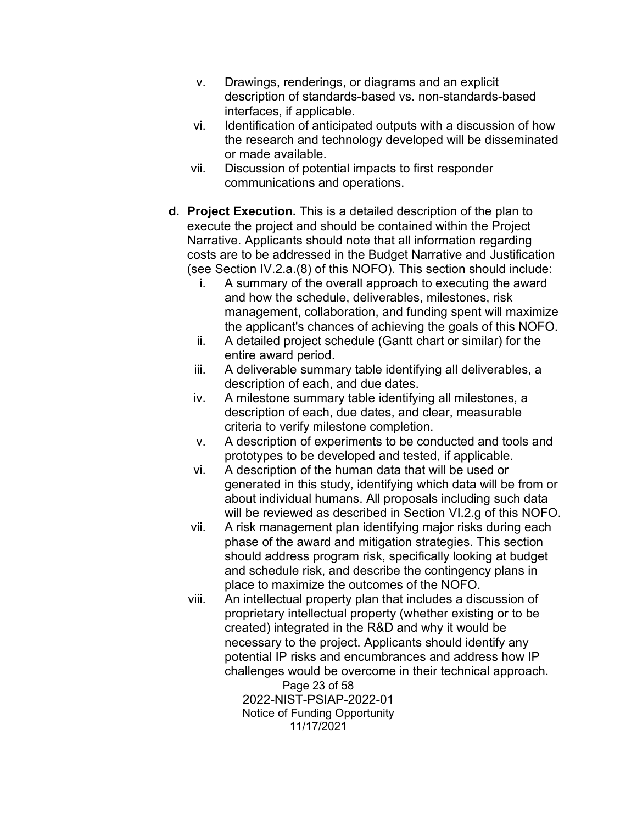- v. Drawings, renderings, or diagrams and an explicit description of standards-based vs. non-standards-based interfaces, if applicable.
- vi. Identification of anticipated outputs with a discussion of how the research and technology developed will be disseminated or made available.
- vii. Discussion of potential impacts to first responder communications and operations.
- **d. Project Execution.** This is a detailed description of the plan to execute the project and should be contained within the Project Narrative. Applicants should note that all information regarding costs are to be addressed in the Budget Narrative and Justification (see Section IV.2.a.(8) of this NOFO). This section should include:
	- i. A summary of the overall approach to executing the award and how the schedule, deliverables, milestones, risk management, collaboration, and funding spent will maximize the applicant's chances of achieving the goals of this NOFO.
	- ii. A detailed project schedule (Gantt chart or similar) for the entire award period.
	- iii. A deliverable summary table identifying all deliverables, a description of each, and due dates.
	- iv. A milestone summary table identifying all milestones, a description of each, due dates, and clear, measurable criteria to verify milestone completion.
	- v. A description of experiments to be conducted and tools and prototypes to be developed and tested, if applicable.
	- vi. A description of the human data that will be used or generated in this study, identifying which data will be from or about individual humans. All proposals including such data will be reviewed as described in Section VI.2.g of this NOFO.
	- vii. A risk management plan identifying major risks during each phase of the award and mitigation strategies. This section should address program risk, specifically looking at budget and schedule risk, and describe the contingency plans in place to maximize the outcomes of the NOFO.
	- viii. An intellectual property plan that includes a discussion of proprietary intellectual property (whether existing or to be created) integrated in the R&D and why it would be necessary to the project. Applicants should identify any potential IP risks and encumbrances and address how IP challenges would be overcome in their technical approach.

Page 23 of 58 2022-NIST-PSIAP-2022-01 Notice of Funding Opportunity 11/17/2021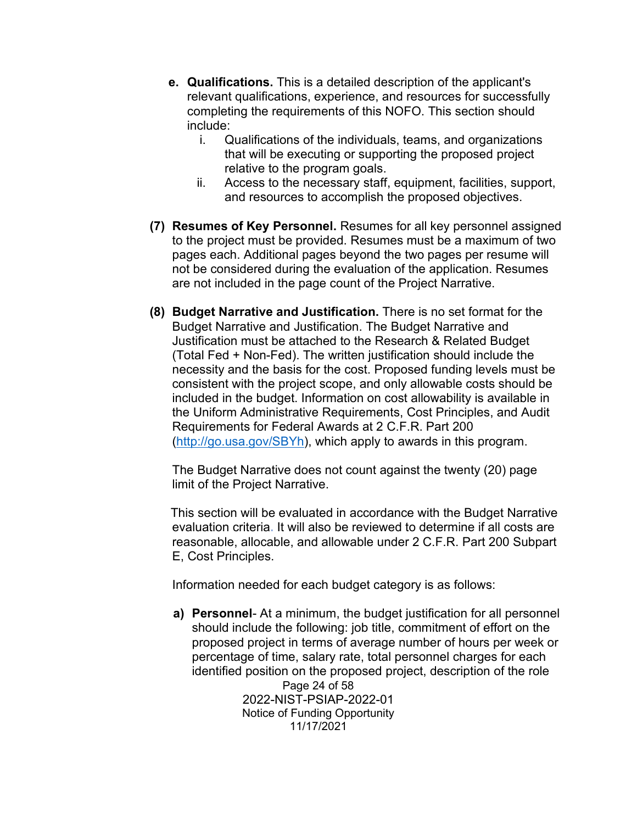- **e. Qualifications.** This is a detailed description of the applicant's relevant qualifications, experience, and resources for successfully completing the requirements of this NOFO. This section should include:
	- i. Qualifications of the individuals, teams, and organizations that will be executing or supporting the proposed project relative to the program goals.
	- ii. Access to the necessary staff, equipment, facilities, support, and resources to accomplish the proposed objectives.
- **(7) Resumes of Key Personnel.** Resumes for all key personnel assigned to the project must be provided. Resumes must be a maximum of two pages each. Additional pages beyond the two pages per resume will not be considered during the evaluation of the application. Resumes are not included in the page count of the Project Narrative.
- **(8) Budget Narrative and Justification.** There is no set format for the Budget Narrative and Justification. The Budget Narrative and Justification must be attached to the Research & Related Budget (Total Fed + Non-Fed). The written justification should include the necessity and the basis for the cost. Proposed funding levels must be consistent with the project scope, and only allowable costs should be included in the budget. Information on cost allowability is available in the Uniform Administrative Requirements, Cost Principles, and Audit Requirements for Federal Awards at 2 C.F.R. Part 200 [\(http://go.usa.gov/SBYh\)](http://go.usa.gov/SBYh), which apply to awards in this program.

The Budget Narrative does not count against the twenty (20) page limit of the Project Narrative.

 This section will be evaluated in accordance with the Budget Narrative evaluation criteria**.** It will also be reviewed to determine if all costs are reasonable, allocable, and allowable under 2 C.F.R. Part 200 Subpart E, Cost Principles.

Information needed for each budget category is as follows:

Page 24 of 58 2022-NIST-PSIAP-2022-01 **a) Personnel**- At a minimum, the budget justification for all personnel should include the following: job title, commitment of effort on the proposed project in terms of average number of hours per week or percentage of time, salary rate, total personnel charges for each identified position on the proposed project, description of the role

Notice of Funding Opportunity 11/17/2021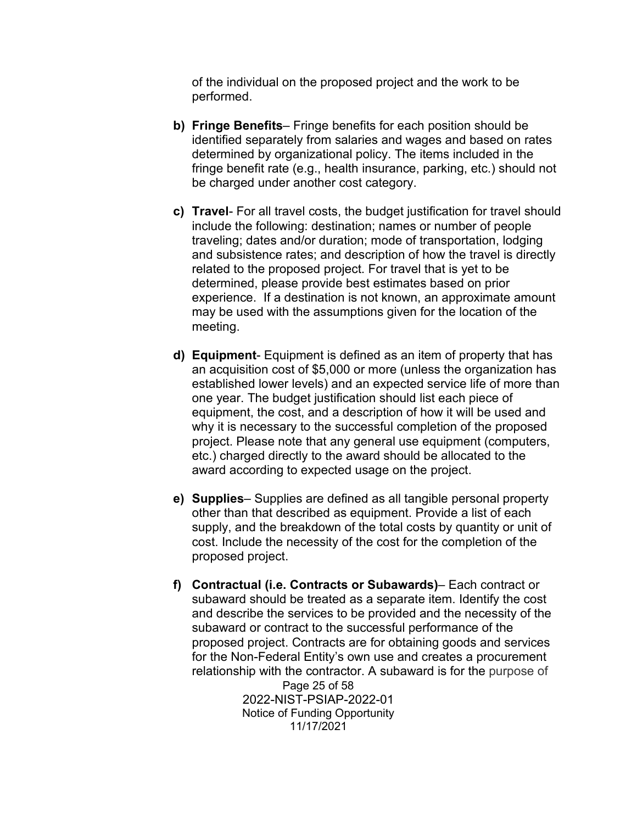of the individual on the proposed project and the work to be performed.

- **b) Fringe Benefits** Fringe benefits for each position should be identified separately from salaries and wages and based on rates determined by organizational policy. The items included in the fringe benefit rate (e.g., health insurance, parking, etc.) should not be charged under another cost category.
- **c) Travel** For all travel costs, the budget justification for travel should include the following: destination; names or number of people traveling; dates and/or duration; mode of transportation, lodging and subsistence rates; and description of how the travel is directly related to the proposed project. For travel that is yet to be determined, please provide best estimates based on prior experience. If a destination is not known, an approximate amount may be used with the assumptions given for the location of the meeting.
- **d) Equipment** Equipment is defined as an item of property that has an acquisition cost of \$5,000 or more (unless the organization has established lower levels) and an expected service life of more than one year. The budget justification should list each piece of equipment, the cost, and a description of how it will be used and why it is necessary to the successful completion of the proposed project. Please note that any general use equipment (computers, etc.) charged directly to the award should be allocated to the award according to expected usage on the project.
- **e) Supplies** Supplies are defined as all tangible personal property other than that described as equipment. Provide a list of each supply, and the breakdown of the total costs by quantity or unit of cost. Include the necessity of the cost for the completion of the proposed project.
- Page 25 of 58 **f) Contractual (i.e. Contracts or Subawards)**– Each contract or subaward should be treated as a separate item. Identify the cost and describe the services to be provided and the necessity of the subaward or contract to the successful performance of the proposed project. Contracts are for obtaining goods and services for the Non-Federal Entity's own use and creates a procurement relationship with the contractor. A subaward is for the purpose of

2022-NIST-PSIAP-2022-01 Notice of Funding Opportunity 11/17/2021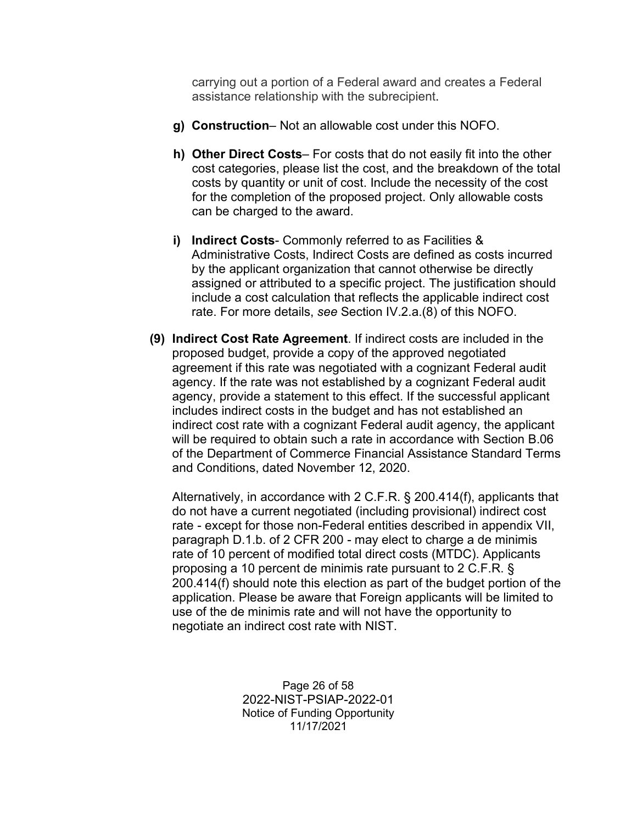carrying out a portion of a Federal award and creates a Federal assistance relationship with the subrecipient.

- **g) Construction** Not an allowable cost under this NOFO.
- **h) Other Direct Costs** For costs that do not easily fit into the other cost categories, please list the cost, and the breakdown of the total costs by quantity or unit of cost. Include the necessity of the cost for the completion of the proposed project. Only allowable costs can be charged to the award.
- **i) Indirect Costs** Commonly referred to as Facilities & Administrative Costs, Indirect Costs are defined as costs incurred by the applicant organization that cannot otherwise be directly assigned or attributed to a specific project. The justification should include a cost calculation that reflects the applicable indirect cost rate. For more details, *see* Section IV.2.a.(8) of this NOFO.
- **(9) Indirect Cost Rate Agreement**. If indirect costs are included in the proposed budget, provide a copy of the approved negotiated agreement if this rate was negotiated with a cognizant Federal audit agency. If the rate was not established by a cognizant Federal audit agency, provide a statement to this effect. If the successful applicant includes indirect costs in the budget and has not established an indirect cost rate with a cognizant Federal audit agency, the applicant will be required to obtain such a rate in accordance with Section B.06 of the Department of Commerce Financial Assistance Standard Terms and Conditions, dated November 12, 2020.

Alternatively, in accordance with 2 C.F.R. § 200.414(f), applicants that do not have a current negotiated (including provisional) indirect cost rate - except for those non-Federal entities described in appendix VII, paragraph D.1.b. of 2 CFR 200 - may elect to charge a de minimis rate of 10 percent of modified total direct costs (MTDC). Applicants proposing a 10 percent de minimis rate pursuant to 2 C.F.R. § 200.414(f) should note this election as part of the budget portion of the application. Please be aware that Foreign applicants will be limited to use of the de minimis rate and will not have the opportunity to negotiate an indirect cost rate with NIST.

> Page 26 of 58 2022-NIST-PSIAP-2022-01 Notice of Funding Opportunity 11/17/2021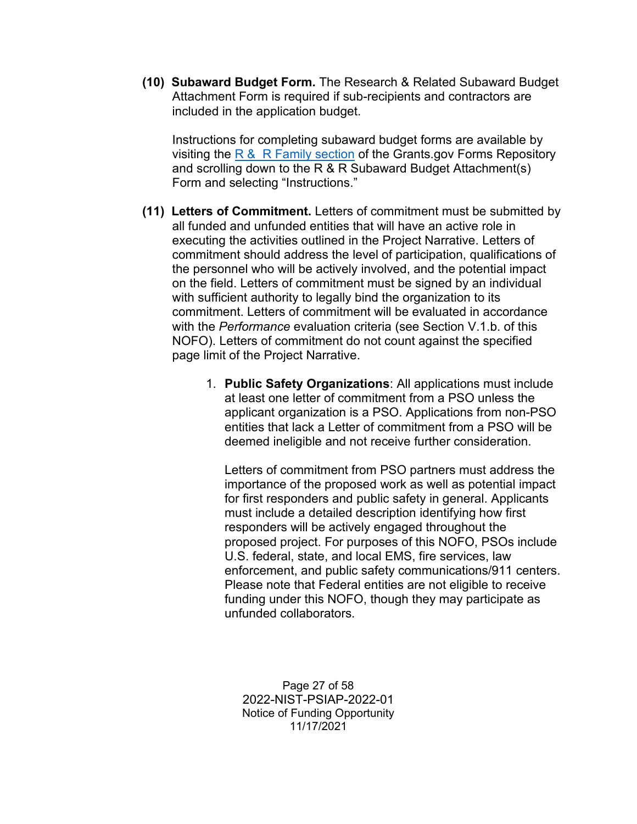**(10) Subaward Budget Form.** The Research & Related Subaward Budget Attachment Form is required if sub-recipients and contractors are included in the application budget.

Instructions for completing subaward budget forms are available by visiting the  $R & R$  Family section of the Grants.gov Forms Repository and scrolling down to the R & R Subaward Budget Attachment(s) Form and selecting "Instructions."

- **(11) Letters of Commitment.** Letters of commitment must be submitted by all funded and unfunded entities that will have an active role in executing the activities outlined in the Project Narrative. Letters of commitment should address the level of participation, qualifications of the personnel who will be actively involved, and the potential impact on the field. Letters of commitment must be signed by an individual with sufficient authority to legally bind the organization to its commitment. Letters of commitment will be evaluated in accordance with the *Performance* evaluation criteria (see Section V.1.b. of this NOFO). Letters of commitment do not count against the specified page limit of the Project Narrative.
	- 1. **Public Safety Organizations**: All applications must include at least one letter of commitment from a PSO unless the applicant organization is a PSO. Applications from non-PSO entities that lack a Letter of commitment from a PSO will be deemed ineligible and not receive further consideration.

Letters of commitment from PSO partners must address the importance of the proposed work as well as potential impact for first responders and public safety in general. Applicants must include a detailed description identifying how first responders will be actively engaged throughout the proposed project. For purposes of this NOFO, PSOs include U.S. federal, state, and local EMS, fire services, law enforcement, and public safety communications/911 centers. Please note that Federal entities are not eligible to receive funding under this NOFO, though they may participate as unfunded collaborators.

Page 27 of 58 2022-NIST-PSIAP-2022-01 Notice of Funding Opportunity 11/17/2021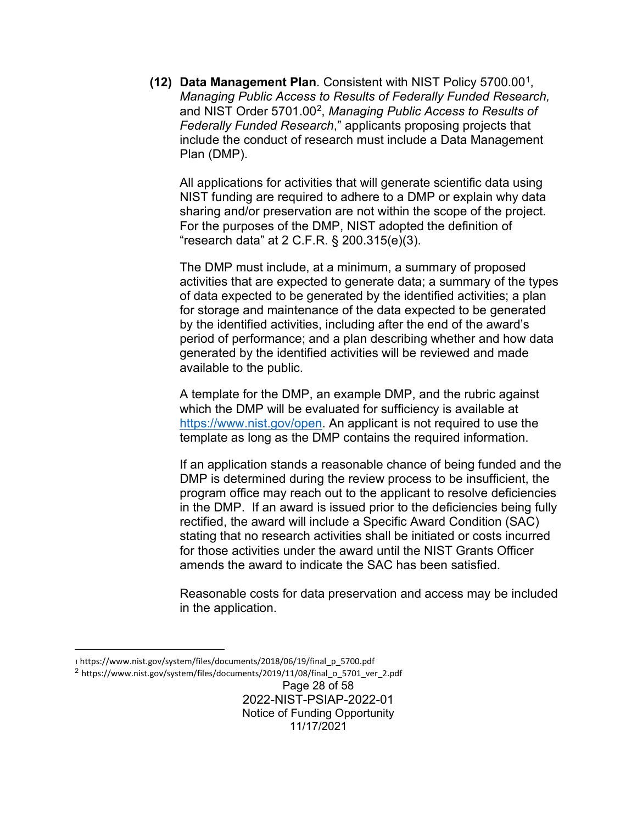**(12) Data Management Plan**. Consistent with NIST Policy 5700.0[01,](#page-27-0) *Managing Public Access to Results of Federally Funded Research,*  and NIST Order 5701.00[2](#page-27-1), *Managing Public Access to Results of Federally Funded Research*," applicants proposing projects that include the conduct of research must include a Data Management Plan (DMP).

All applications for activities that will generate scientific data using NIST funding are required to adhere to a DMP or explain why data sharing and/or preservation are not within the scope of the project. For the purposes of the DMP, NIST adopted the definition of "research data" at 2 C.F.R. § 200.315(e)(3).

The DMP must include, at a minimum, a summary of proposed activities that are expected to generate data; a summary of the types of data expected to be generated by the identified activities; a plan for storage and maintenance of the data expected to be generated by the identified activities, including after the end of the award's period of performance; and a plan describing whether and how data generated by the identified activities will be reviewed and made available to the public.

A template for the DMP, an example DMP, and the rubric against which the DMP will be evaluated for sufficiency is available at [https://www.nist.gov/open.](https://www.nist.gov/open) An applicant is not required to use the template as long as the DMP contains the required information.

If an application stands a reasonable chance of being funded and the DMP is determined during the review process to be insufficient, the program office may reach out to the applicant to resolve deficiencies in the DMP. If an award is issued prior to the deficiencies being fully rectified, the award will include a Specific Award Condition (SAC) stating that no research activities shall be initiated or costs incurred for those activities under the award until the NIST Grants Officer amends the award to indicate the SAC has been satisfied.

Reasonable costs for data preservation and access may be included in the application.

<span id="page-27-1"></span><sup>2</sup> https://www.nist.gov/system/files/documents/2019/11/08/final\_o\_5701\_ver\_2.pdf

<span id="page-27-0"></span><sup>1</sup> https://www.nist.gov/system/files/documents/2018/06/19/final\_p\_5700.pdf

Page 28 of 58 2022-NIST-PSIAP-2022-01 Notice of Funding Opportunity 11/17/2021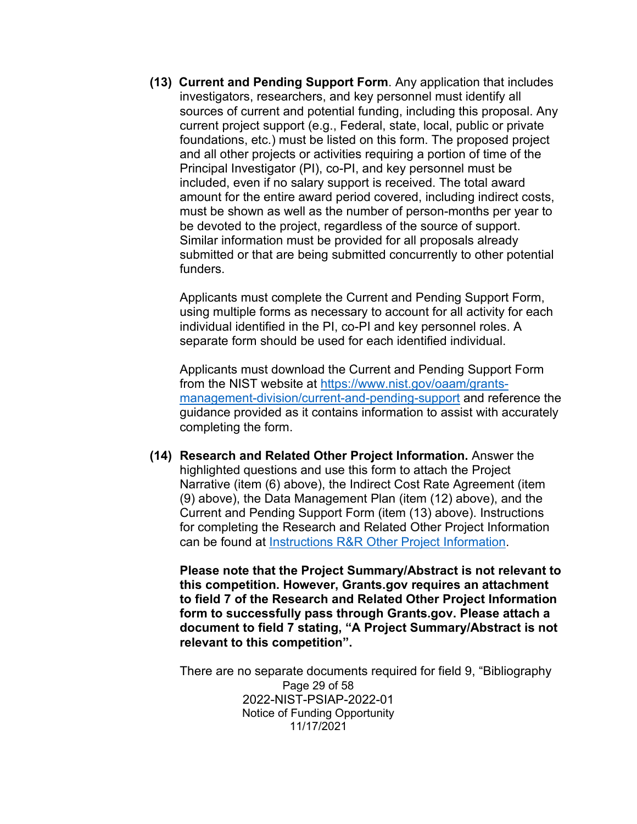**(13) Current and Pending Support Form**. Any application that includes investigators, researchers, and key personnel must identify all sources of current and potential funding, including this proposal. Any current project support (e.g., Federal, state, local, public or private foundations, etc.) must be listed on this form. The proposed project and all other projects or activities requiring a portion of time of the Principal Investigator (PI), co-PI, and key personnel must be included, even if no salary support is received. The total award amount for the entire award period covered, including indirect costs, must be shown as well as the number of person-months per year to be devoted to the project, regardless of the source of support. Similar information must be provided for all proposals already submitted or that are being submitted concurrently to other potential funders.

Applicants must complete the Current and Pending Support Form, using multiple forms as necessary to account for all activity for each individual identified in the PI, co-PI and key personnel roles. A separate form should be used for each identified individual.

Applicants must download the Current and Pending Support Form from the NIST website at [https://www.nist.gov/oaam/grants](https://www.nist.gov/oaam/grants-management-division/current-and-pending-support)[management-division/current-and-pending-support](https://www.nist.gov/oaam/grants-management-division/current-and-pending-support) and reference the guidance provided as it contains information to assist with accurately completing the form.

**(14) Research and Related Other Project Information.** Answer the highlighted questions and use this form to attach the Project Narrative (item (6) above), the Indirect Cost Rate Agreement (item (9) above), the Data Management Plan (item (12) above), and the Current and Pending Support Form (item (13) above). Instructions for completing the Research and Related Other Project Information can be found at [Instructions R&R Other Project Information.](https://go.usa.gov/xd2ab)

**Please note that the Project Summary/Abstract is not relevant to this competition. However, Grants.gov requires an attachment to field 7 of the Research and Related Other Project Information form to successfully pass through Grants.gov. Please attach a document to field 7 stating, "A Project Summary/Abstract is not relevant to this competition".**

Page 29 of 58 2022-NIST-PSIAP-2022-01 Notice of Funding Opportunity 11/17/2021 There are no separate documents required for field 9, "Bibliography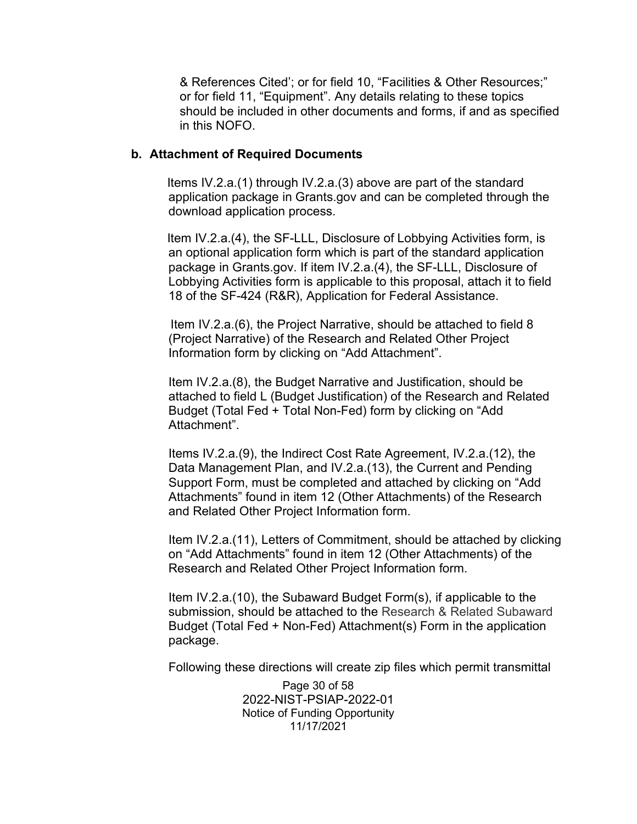& References Cited'; or for field 10, "Facilities & Other Resources;" or for field 11, "Equipment". Any details relating to these topics should be included in other documents and forms, if and as specified in this NOFO.

#### **b. Attachment of Required Documents**

 Items IV.2.a.(1) through IV.2.a.(3) above are part of the standard application package in Grants.gov and can be completed through the download application process.

 Item IV.2.a.(4), the SF-LLL, Disclosure of Lobbying Activities form, is an optional application form which is part of the standard application package in Grants.gov. If item IV.2.a.(4), the SF-LLL, Disclosure of Lobbying Activities form is applicable to this proposal, attach it to field 18 of the SF-424 (R&R), Application for Federal Assistance.

 Item IV.2.a.(6), the Project Narrative, should be attached to field 8 (Project Narrative) of the Research and Related Other Project Information form by clicking on "Add Attachment".

Item IV.2.a.(8), the Budget Narrative and Justification, should be attached to field L (Budget Justification) of the Research and Related Budget (Total Fed + Total Non-Fed) form by clicking on "Add Attachment".

Items IV.2.a.(9), the Indirect Cost Rate Agreement, IV.2.a.(12), the Data Management Plan, and IV.2.a.(13), the Current and Pending Support Form, must be completed and attached by clicking on "Add Attachments" found in item 12 (Other Attachments) of the Research and Related Other Project Information form.

Item IV.2.a.(11), Letters of Commitment, should be attached by clicking on "Add Attachments" found in item 12 (Other Attachments) of the Research and Related Other Project Information form.

Item IV.2.a.(10), the Subaward Budget Form(s), if applicable to the submission, should be attached to the Research & Related Subaward Budget (Total Fed + Non-Fed) Attachment(s) Form in the application package.

Following these directions will create zip files which permit transmittal

Page 30 of 58 2022-NIST-PSIAP-2022-01 Notice of Funding Opportunity 11/17/2021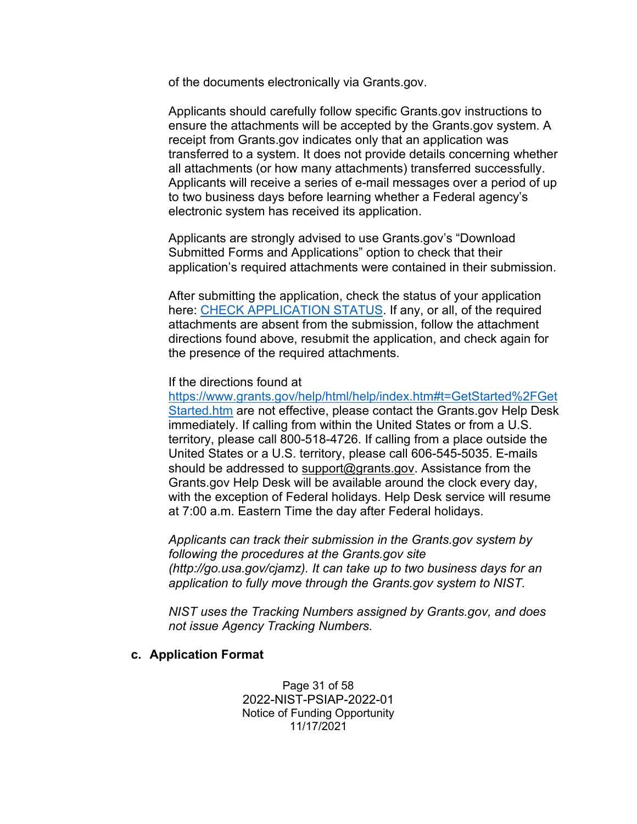of the documents electronically via Grants.gov.

Applicants should carefully follow specific Grants.gov instructions to ensure the attachments will be accepted by the Grants.gov system. A receipt from Grants.gov indicates only that an application was transferred to a system. It does not provide details concerning whether all attachments (or how many attachments) transferred successfully. Applicants will receive a series of e-mail messages over a period of up to two business days before learning whether a Federal agency's electronic system has received its application.

Applicants are strongly advised to use Grants.gov's "Download Submitted Forms and Applications" option to check that their application's required attachments were contained in their submission.

After submitting the application, check the status of your application here: [CHECK APPLICATION STATUS.](https://www.grants.gov/help/html/help/index.htm#t=Applicants%2FCheckApplicationStatus%2FCheckApplicationStatus.htm) If any, or all, of the required attachments are absent from the submission, follow the attachment directions found above, resubmit the application, and check again for the presence of the required attachments.

#### If the directions found at

[https://www.grants.gov/help/html/help/index.htm#t=GetStarted%2FGet](https://www.grants.gov/help/html/help/index.htm#t=GetStarted%2FGetStarted.htm) [Started.htm](https://www.grants.gov/help/html/help/index.htm#t=GetStarted%2FGetStarted.htm) are not effective, please contact the Grants.gov Help Desk immediately. If calling from within the United States or from a U.S. territory, please call 800-518-4726. If calling from a place outside the United States or a U.S. territory, please call 606-545-5035. E-mails should be addressed to [support@grants.gov.](mailto:support@grants.gov) Assistance from the Grants.gov Help Desk will be available around the clock every day, with the exception of Federal holidays. Help Desk service will resume at 7:00 a.m. Eastern Time the day after Federal holidays.

*Applicants can track their submission in the Grants.gov system by following the procedures at the Grants.gov site (http://go.usa.gov/cjamz). It can take up to two business days for an application to fully move through the Grants.gov system to NIST.*

*NIST uses the Tracking Numbers assigned by Grants.gov, and does not issue Agency Tracking Numbers.*

#### **c. Application Format**

Page 31 of 58 2022-NIST-PSIAP-2022-01 Notice of Funding Opportunity 11/17/2021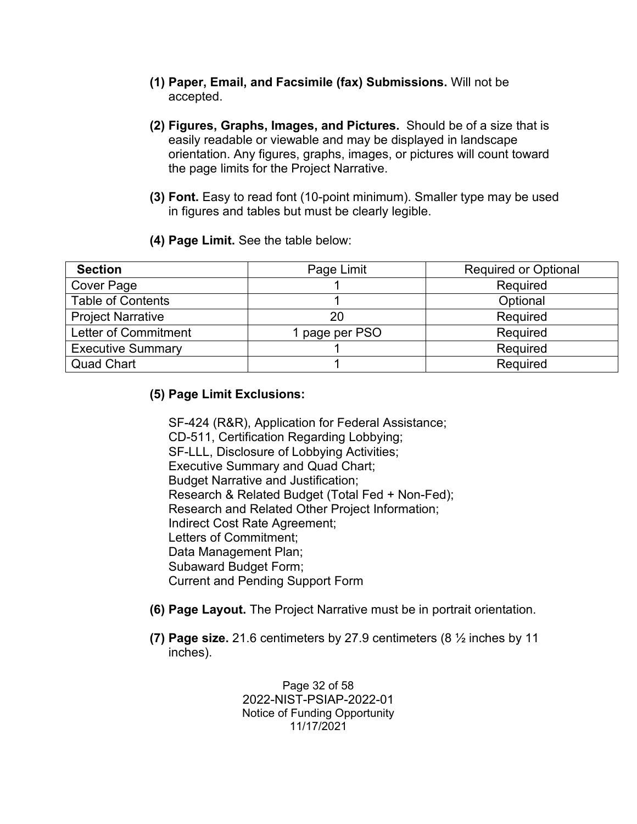- **(1) Paper, Email, and Facsimile (fax) Submissions.** Will not be accepted.
- **(2) Figures, Graphs, Images, and Pictures.** Should be of a size that is easily readable or viewable and may be displayed in landscape orientation. Any figures, graphs, images, or pictures will count toward the page limits for the Project Narrative.
- **(3) Font.** Easy to read font (10-point minimum). Smaller type may be used in figures and tables but must be clearly legible.
- **(4) Page Limit.** See the table below:

| <b>Section</b>              | Page Limit     | <b>Required or Optional</b> |
|-----------------------------|----------------|-----------------------------|
| Cover Page                  |                | Required                    |
| <b>Table of Contents</b>    |                | Optional                    |
| <b>Project Narrative</b>    | 20             | Required                    |
| <b>Letter of Commitment</b> | 1 page per PSO | Required                    |
| <b>Executive Summary</b>    |                | Required                    |
| <b>Quad Chart</b>           |                | Required                    |

#### **(5) Page Limit Exclusions:**

SF-424 (R&R), Application for Federal Assistance; CD-511, Certification Regarding Lobbying; SF-LLL, Disclosure of Lobbying Activities; Executive Summary and Quad Chart; Budget Narrative and Justification; Research & Related Budget (Total Fed + Non-Fed); Research and Related Other Project Information; Indirect Cost Rate Agreement; Letters of Commitment; Data Management Plan; Subaward Budget Form; Current and Pending Support Form

- **(6) Page Layout.** The Project Narrative must be in portrait orientation.
- **(7) Page size.** 21.6 centimeters by 27.9 centimeters (8 ½ inches by 11 inches).

Page 32 of 58 2022-NIST-PSIAP-2022-01 Notice of Funding Opportunity 11/17/2021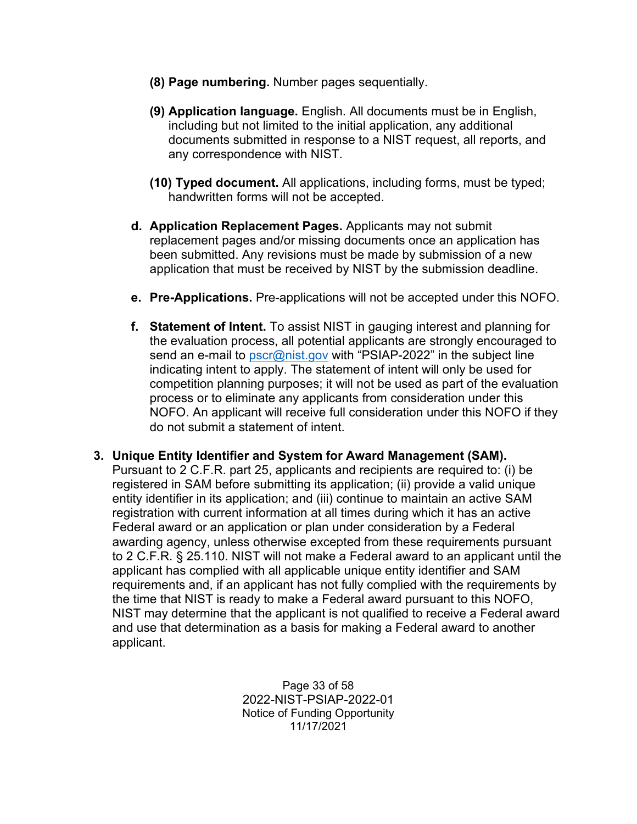- **(8) Page numbering.** Number pages sequentially.
- **(9) Application language.** English. All documents must be in English, including but not limited to the initial application, any additional documents submitted in response to a NIST request, all reports, and any correspondence with NIST.
- **(10) Typed document.** All applications, including forms, must be typed; handwritten forms will not be accepted.
- **d. Application Replacement Pages.** Applicants may not submit replacement pages and/or missing documents once an application has been submitted. Any revisions must be made by submission of a new application that must be received by NIST by the submission deadline.
- **e. Pre-Applications.** Pre-applications will not be accepted under this NOFO.
- **f. Statement of Intent.** To assist NIST in gauging interest and planning for the evaluation process, all potential applicants are strongly encouraged to send an e-mail to *pscr@nist.gov* with "PSIAP-2022" in the subject line indicating intent to apply. The statement of intent will only be used for competition planning purposes; it will not be used as part of the evaluation process or to eliminate any applicants from consideration under this NOFO. An applicant will receive full consideration under this NOFO if they do not submit a statement of intent.

#### **3. Unique Entity Identifier and System for Award Management (SAM).**

Pursuant to 2 C.F.R. part 25, applicants and recipients are required to: (i) be registered in SAM before submitting its application; (ii) provide a valid unique entity identifier in its application; and (iii) continue to maintain an active SAM registration with current information at all times during which it has an active Federal award or an application or plan under consideration by a Federal awarding agency, unless otherwise excepted from these requirements pursuant to 2 C.F.R. § 25.110. NIST will not make a Federal award to an applicant until the applicant has complied with all applicable unique entity identifier and SAM requirements and, if an applicant has not fully complied with the requirements by the time that NIST is ready to make a Federal award pursuant to this NOFO, NIST may determine that the applicant is not qualified to receive a Federal award and use that determination as a basis for making a Federal award to another applicant.

> Page 33 of 58 2022-NIST-PSIAP-2022-01 Notice of Funding Opportunity 11/17/2021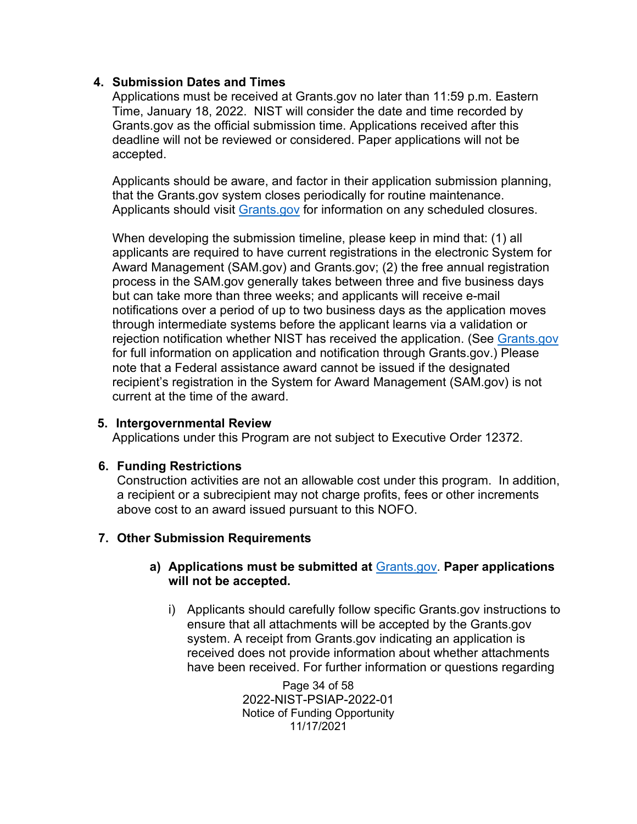#### **4. Submission Dates and Times**

Applications must be received at Grants.gov no later than 11:59 p.m. Eastern Time, January 18, 2022. NIST will consider the date and time recorded by Grants.gov as the official submission time. Applications received after this deadline will not be reviewed or considered. Paper applications will not be accepted.

Applicants should be aware, and factor in their application submission planning, that the Grants.gov system closes periodically for routine maintenance. Applicants should visit [Grants.gov](https://www.grants.gov/) for information on any scheduled closures.

When developing the submission timeline, please keep in mind that: (1) all applicants are required to have current registrations in the electronic System for Award Management (SAM.gov) and Grants.gov; (2) the free annual registration process in the SAM.gov generally takes between three and five business days but can take more than three weeks; and applicants will receive e-mail notifications over a period of up to two business days as the application moves through intermediate systems before the applicant learns via a validation or rejection notification whether NIST has received the application. (See [Grants.gov](http://www.grants.gov/) for full information on application and notification through Grants.gov.) Please note that a Federal assistance award cannot be issued if the designated recipient's registration in the System for Award Management (SAM.gov) is not current at the time of the award.

#### **5. Intergovernmental Review**

Applications under this Program are not subject to Executive Order 12372.

## **6. Funding Restrictions**

Construction activities are not an allowable cost under this program. In addition, a recipient or a subrecipient may not charge profits, fees or other increments above cost to an award issued pursuant to this NOFO.

## **7. Other Submission Requirements**

#### **a) Applications must be submitted at** [Grants.gov.](http://www.grants.gov/) **Paper applications will not be accepted.**

i) Applicants should carefully follow specific Grants.gov instructions to ensure that all attachments will be accepted by the Grants.gov system. A receipt from Grants.gov indicating an application is received does not provide information about whether attachments have been received. For further information or questions regarding

> Page 34 of 58 2022-NIST-PSIAP-2022-01 Notice of Funding Opportunity 11/17/2021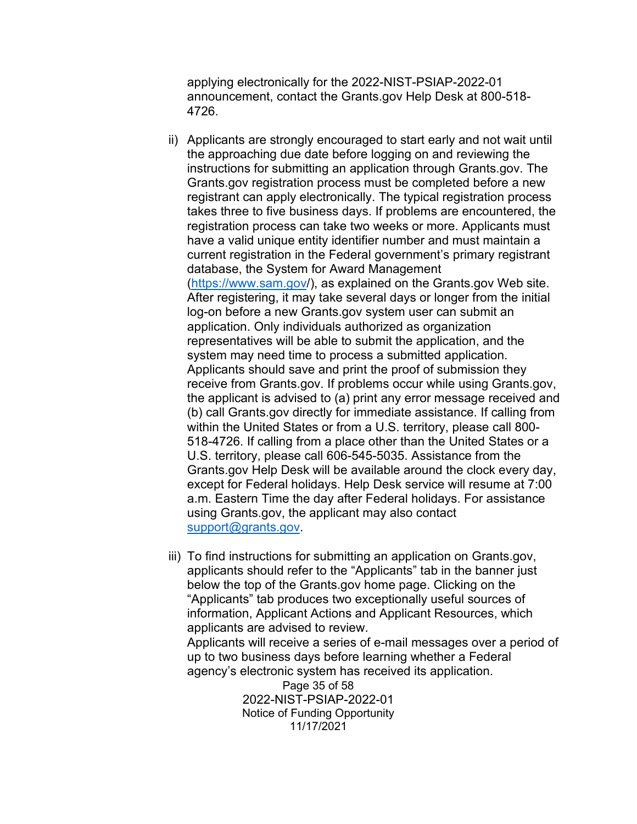applying electronically for the 2022-NIST-PSIAP-2022-01 announcement, contact the Grants.gov Help Desk at 800-518- 4726.

- ii) Applicants are strongly encouraged to start early and not wait until the approaching due date before logging on and reviewing the instructions for submitting an application through Grants.gov. The Grants.gov registration process must be completed before a new registrant can apply electronically. The typical registration process takes three to five business days. If problems are encountered, the registration process can take two weeks or more. Applicants must have a valid unique entity identifier number and must maintain a current registration in the Federal government's primary registrant database, the System for Award Management [\(https://www.sam.gov/](https://www.sam.gov/)), as explained on the Grants.gov Web site. After registering, it may take several days or longer from the initial log-on before a new Grants.gov system user can submit an application. Only individuals authorized as organization representatives will be able to submit the application, and the system may need time to process a submitted application. Applicants should save and print the proof of submission they receive from Grants.gov. If problems occur while using Grants.gov, the applicant is advised to (a) print any error message received and (b) call Grants.gov directly for immediate assistance. If calling from within the United States or from a U.S. territory, please call 800- 518-4726. If calling from a place other than the United States or a U.S. territory, please call 606-545-5035. Assistance from the Grants.gov Help Desk will be available around the clock every day, except for Federal holidays. Help Desk service will resume at 7:00 a.m. Eastern Time the day after Federal holidays. For assistance using Grants.gov, the applicant may also contact [support@grants.gov.](mailto:support@grants.gov)
- iii) To find instructions for submitting an application on Grants.gov, applicants should refer to the "Applicants" tab in the banner just below the top of the Grants.gov home page. Clicking on the "Applicants" tab produces two exceptionally useful sources of information, Applicant Actions and Applicant Resources, which applicants are advised to review.

Applicants will receive a series of e-mail messages over a period of up to two business days before learning whether a Federal agency's electronic system has received its application.

> Page 35 of 58 2022-NIST-PSIAP-2022-01 Notice of Funding Opportunity 11/17/2021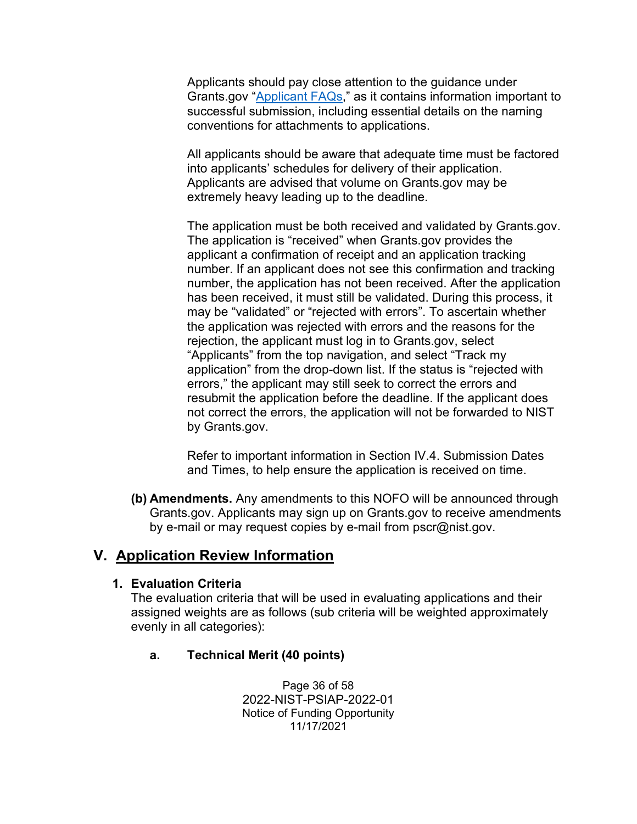Applicants should pay close attention to the guidance under Grants.gov ["Applicant FAQs,](https://www.grants.gov/applicants/applicant-faqs.html)" as it contains information important to successful submission, including essential details on the naming conventions for attachments to applications.

All applicants should be aware that adequate time must be factored into applicants' schedules for delivery of their application. Applicants are advised that volume on Grants.gov may be extremely heavy leading up to the deadline.

The application must be both received and validated by Grants.gov. The application is "received" when Grants.gov provides the applicant a confirmation of receipt and an application tracking number. If an applicant does not see this confirmation and tracking number, the application has not been received. After the application has been received, it must still be validated. During this process, it may be "validated" or "rejected with errors". To ascertain whether the application was rejected with errors and the reasons for the rejection, the applicant must log in to Grants.gov, select "Applicants" from the top navigation, and select "Track my application" from the drop-down list. If the status is "rejected with errors," the applicant may still seek to correct the errors and resubmit the application before the deadline. If the applicant does not correct the errors, the application will not be forwarded to NIST by Grants.gov.

Refer to important information in Section IV.4. Submission Dates and Times, to help ensure the application is received on time.

**(b) Amendments.** Any amendments to this NOFO will be announced through Grants.gov. Applicants may sign up on Grants.gov to receive amendments by e-mail or may request copies by e-mail from pscr@nist.gov.

# <span id="page-35-0"></span>**V. Application Review Information**

## **1. Evaluation Criteria**

The evaluation criteria that will be used in evaluating applications and their assigned weights are as follows (sub criteria will be weighted approximately evenly in all categories):

## **a. Technical Merit (40 points)**

Page 36 of 58 2022-NIST-PSIAP-2022-01 Notice of Funding Opportunity 11/17/2021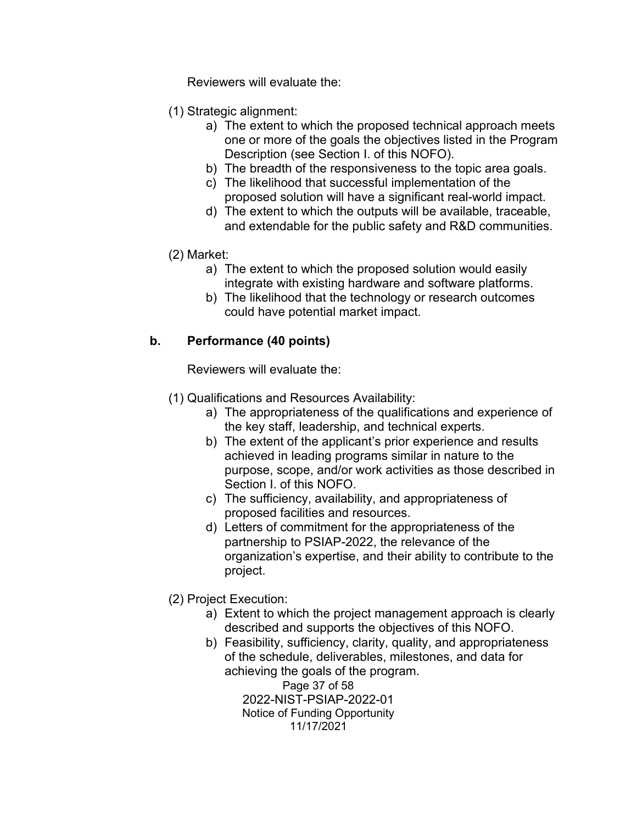Reviewers will evaluate the:

- (1) Strategic alignment:
	- a) The extent to which the proposed technical approach meets one or more of the goals the objectives listed in the Program Description (see Section I. of this NOFO).
	- b) The breadth of the responsiveness to the topic area goals.
	- c) The likelihood that successful implementation of the proposed solution will have a significant real-world impact.
	- d) The extent to which the outputs will be available, traceable, and extendable for the public safety and R&D communities.
- (2) Market:
	- a) The extent to which the proposed solution would easily integrate with existing hardware and software platforms.
	- b) The likelihood that the technology or research outcomes could have potential market impact.

#### **b. Performance (40 points)**

Reviewers will evaluate the:

- (1) Qualifications and Resources Availability:
	- a) The appropriateness of the qualifications and experience of the key staff, leadership, and technical experts.
	- b) The extent of the applicant's prior experience and results achieved in leading programs similar in nature to the purpose, scope, and/or work activities as those described in Section I. of this NOFO.
	- c) The sufficiency, availability, and appropriateness of proposed facilities and resources.
	- d) Letters of commitment for the appropriateness of the partnership to PSIAP-2022, the relevance of the organization's expertise, and their ability to contribute to the project.
- (2) Project Execution:
	- a) Extent to which the project management approach is clearly described and supports the objectives of this NOFO.
	- b) Feasibility, sufficiency, clarity, quality, and appropriateness of the schedule, deliverables, milestones, and data for achieving the goals of the program.

Page 37 of 58 2022-NIST-PSIAP-2022-01 Notice of Funding Opportunity 11/17/2021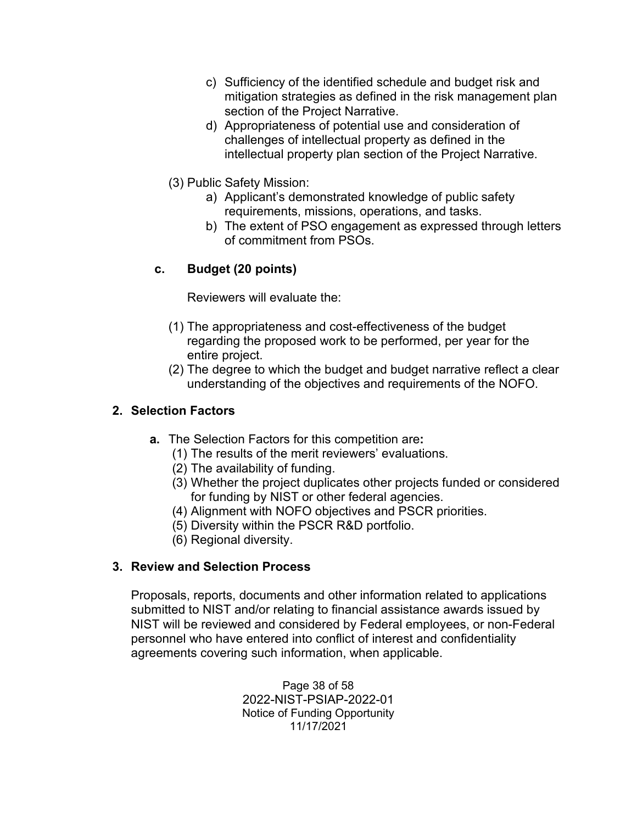- c) Sufficiency of the identified schedule and budget risk and mitigation strategies as defined in the risk management plan section of the Project Narrative.
- d) Appropriateness of potential use and consideration of challenges of intellectual property as defined in the intellectual property plan section of the Project Narrative.
- (3) Public Safety Mission:
	- a) Applicant's demonstrated knowledge of public safety requirements, missions, operations, and tasks.
	- b) The extent of PSO engagement as expressed through letters of commitment from PSOs.

## **c. Budget (20 points)**

Reviewers will evaluate the:

- (1) The appropriateness and cost-effectiveness of the budget regarding the proposed work to be performed, per year for the entire project.
- (2) The degree to which the budget and budget narrative reflect a clear understanding of the objectives and requirements of the NOFO.

## **2. Selection Factors**

- **a.** The Selection Factors for this competition are**:**
	- (1) The results of the merit reviewers' evaluations.
	- (2) The availability of funding.
	- (3) Whether the project duplicates other projects funded or considered for funding by NIST or other federal agencies.
	- (4) Alignment with NOFO objectives and PSCR priorities.
	- (5) Diversity within the PSCR R&D portfolio.
	- (6) Regional diversity.

## **3. Review and Selection Process**

Proposals, reports, documents and other information related to applications submitted to NIST and/or relating to financial assistance awards issued by NIST will be reviewed and considered by Federal employees, or non-Federal personnel who have entered into conflict of interest and confidentiality agreements covering such information, when applicable.

> Page 38 of 58 2022-NIST-PSIAP-2022-01 Notice of Funding Opportunity 11/17/2021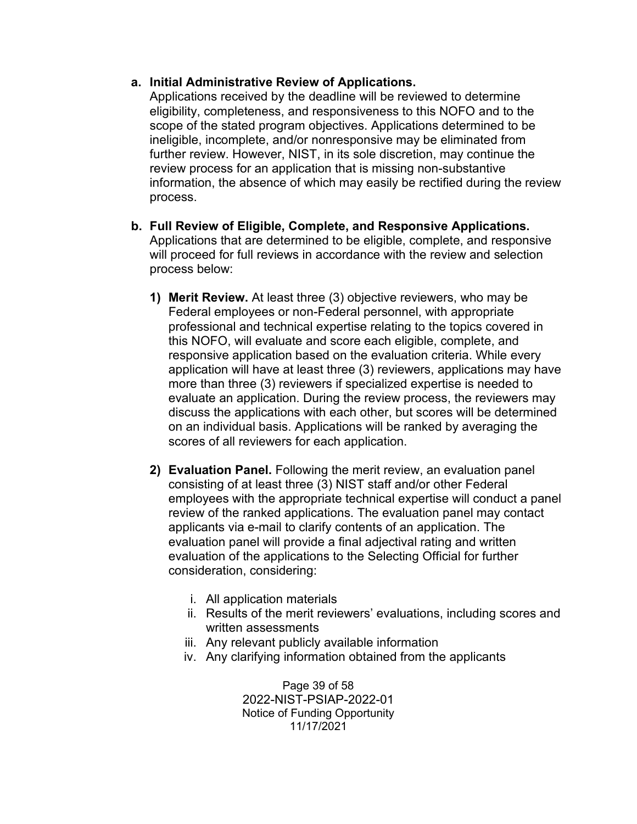#### **a. Initial Administrative Review of Applications.**

Applications received by the deadline will be reviewed to determine eligibility, completeness, and responsiveness to this NOFO and to the scope of the stated program objectives. Applications determined to be ineligible, incomplete, and/or nonresponsive may be eliminated from further review. However, NIST, in its sole discretion, may continue the review process for an application that is missing non-substantive information, the absence of which may easily be rectified during the review process.

- **b. Full Review of Eligible, Complete, and Responsive Applications.** Applications that are determined to be eligible, complete, and responsive will proceed for full reviews in accordance with the review and selection process below:
	- **1) Merit Review.** At least three (3) objective reviewers, who may be Federal employees or non-Federal personnel, with appropriate professional and technical expertise relating to the topics covered in this NOFO, will evaluate and score each eligible, complete, and responsive application based on the evaluation criteria. While every application will have at least three (3) reviewers, applications may have more than three (3) reviewers if specialized expertise is needed to evaluate an application. During the review process, the reviewers may discuss the applications with each other, but scores will be determined on an individual basis. Applications will be ranked by averaging the scores of all reviewers for each application.
	- **2) Evaluation Panel.** Following the merit review, an evaluation panel consisting of at least three (3) NIST staff and/or other Federal employees with the appropriate technical expertise will conduct a panel review of the ranked applications. The evaluation panel may contact applicants via e-mail to clarify contents of an application. The evaluation panel will provide a final adjectival rating and written evaluation of the applications to the Selecting Official for further consideration, considering:
		- i. All application materials
		- ii. Results of the merit reviewers' evaluations, including scores and written assessments
		- iii. Any relevant publicly available information
		- iv. Any clarifying information obtained from the applicants

Page 39 of 58 2022-NIST-PSIAP-2022-01 Notice of Funding Opportunity 11/17/2021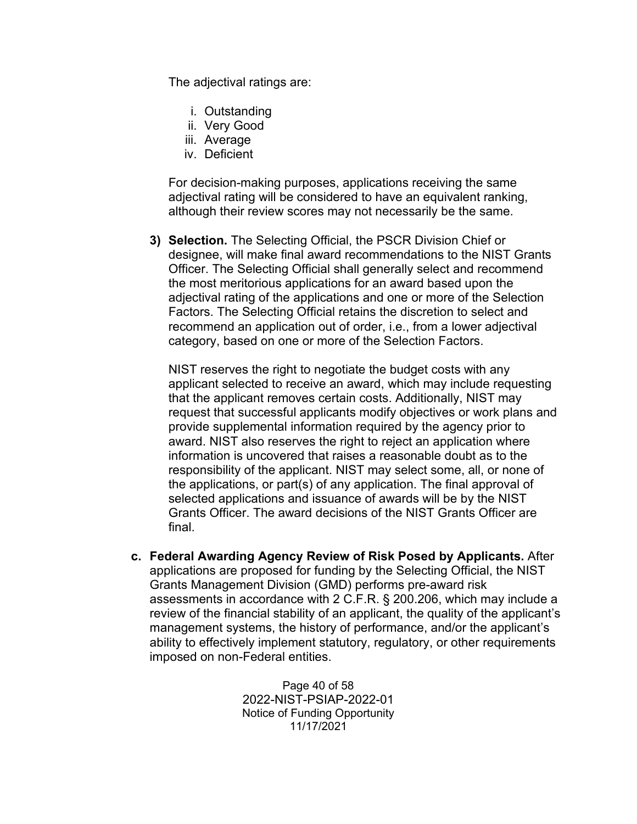The adjectival ratings are:

- i. Outstanding
- ii. Very Good
- iii. Average
- iv. Deficient

For decision-making purposes, applications receiving the same adjectival rating will be considered to have an equivalent ranking, although their review scores may not necessarily be the same.

**3) Selection.** The Selecting Official, the PSCR Division Chief or designee, will make final award recommendations to the NIST Grants Officer. The Selecting Official shall generally select and recommend the most meritorious applications for an award based upon the adjectival rating of the applications and one or more of the Selection Factors. The Selecting Official retains the discretion to select and recommend an application out of order, i.e., from a lower adjectival category, based on one or more of the Selection Factors.

NIST reserves the right to negotiate the budget costs with any applicant selected to receive an award, which may include requesting that the applicant removes certain costs. Additionally, NIST may request that successful applicants modify objectives or work plans and provide supplemental information required by the agency prior to award. NIST also reserves the right to reject an application where information is uncovered that raises a reasonable doubt as to the responsibility of the applicant. NIST may select some, all, or none of the applications, or part(s) of any application. The final approval of selected applications and issuance of awards will be by the NIST Grants Officer. The award decisions of the NIST Grants Officer are final.

**c. Federal Awarding Agency Review of Risk Posed by Applicants.** After applications are proposed for funding by the Selecting Official, the NIST Grants Management Division (GMD) performs pre-award risk assessments in accordance with 2 C.F.R. § 200.206, which may include a review of the financial stability of an applicant, the quality of the applicant's management systems, the history of performance, and/or the applicant's ability to effectively implement statutory, regulatory, or other requirements imposed on non-Federal entities.

> Page 40 of 58 2022-NIST-PSIAP-2022-01 Notice of Funding Opportunity 11/17/2021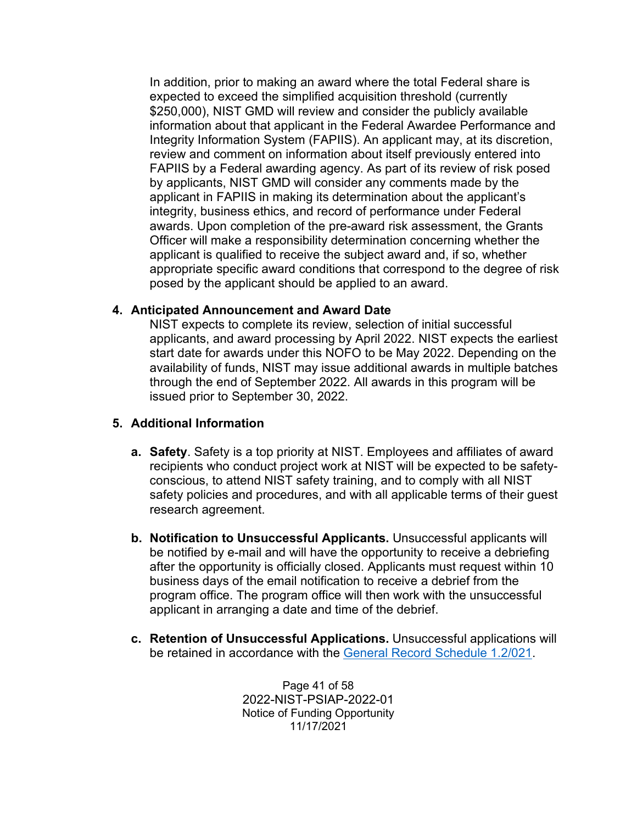In addition, prior to making an award where the total Federal share is expected to exceed the simplified acquisition threshold (currently \$250,000), NIST GMD will review and consider the publicly available information about that applicant in the Federal Awardee Performance and Integrity Information System (FAPIIS). An applicant may, at its discretion, review and comment on information about itself previously entered into FAPIIS by a Federal awarding agency. As part of its review of risk posed by applicants, NIST GMD will consider any comments made by the applicant in FAPIIS in making its determination about the applicant's integrity, business ethics, and record of performance under Federal awards. Upon completion of the pre-award risk assessment, the Grants Officer will make a responsibility determination concerning whether the applicant is qualified to receive the subject award and, if so, whether appropriate specific award conditions that correspond to the degree of risk posed by the applicant should be applied to an award.

#### **4. Anticipated Announcement and Award Date**

NIST expects to complete its review, selection of initial successful applicants, and award processing by April 2022. NIST expects the earliest start date for awards under this NOFO to be May 2022. Depending on the availability of funds, NIST may issue additional awards in multiple batches through the end of September 2022. All awards in this program will be issued prior to September 30, 2022.

#### <span id="page-40-0"></span>**5. Additional Information**

- **a. Safety**. Safety is a top priority at NIST. Employees and affiliates of award recipients who conduct project work at NIST will be expected to be safetyconscious, to attend NIST safety training, and to comply with all NIST safety policies and procedures, and with all applicable terms of their guest research agreement.
- **b. Notification to Unsuccessful Applicants.** Unsuccessful applicants will be notified by e-mail and will have the opportunity to receive a debriefing after the opportunity is officially closed. Applicants must request within 10 business days of the email notification to receive a debrief from the program office. The program office will then work with the unsuccessful applicant in arranging a date and time of the debrief.
- **c. Retention of Unsuccessful Applications.** Unsuccessful applications will be retained in accordance with the [General Record Schedule 1.2/021.](https://www.archives.gov/files/records-mgmt/grs/grs01-2.pdf)

Page 41 of 58 2022-NIST-PSIAP-2022-01 Notice of Funding Opportunity 11/17/2021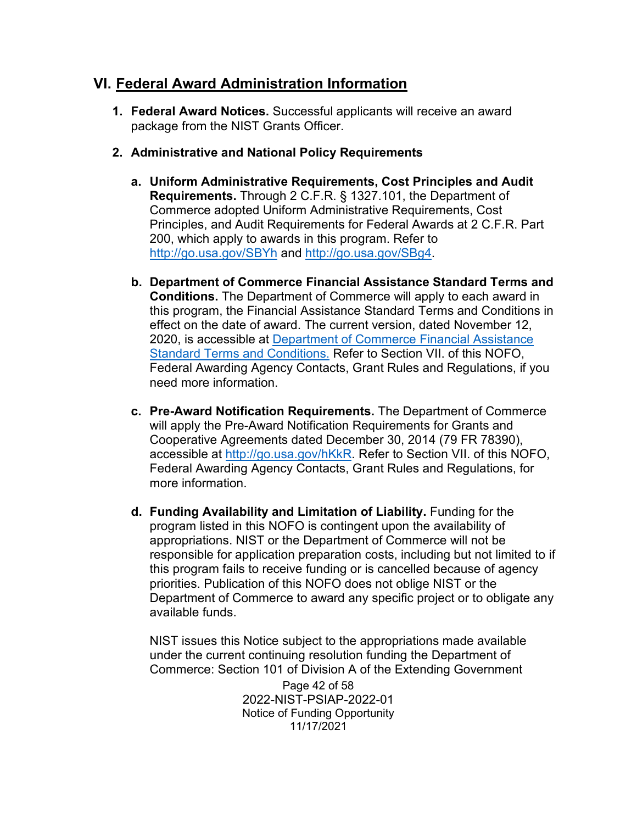# **VI. Federal Award Administration Information**

- **1. Federal Award Notices.** Successful applicants will receive an award package from the NIST Grants Officer.
- **2. Administrative and National Policy Requirements**
	- **a. Uniform Administrative Requirements, Cost Principles and Audit Requirements.** Through 2 C.F.R. § 1327.101, the Department of Commerce adopted Uniform Administrative Requirements, Cost Principles, and Audit Requirements for Federal Awards at 2 C.F.R. Part 200, which apply to awards in this program. Refer to <http://go.usa.gov/SBYh> and [http://go.usa.gov/SBg4.](http://go.usa.gov/SBg4)
	- **b. Department of Commerce Financial Assistance Standard Terms and Conditions.** The Department of Commerce will apply to each award in this program, the Financial Assistance Standard Terms and Conditions in effect on the date of award. The current version, dated November 12, 2020, is accessible at [Department of Commerce Financial Assistance](https://www.commerce.gov/sites/default/files/2020-11/DOC%20Standard%20Terms%20and%20Conditions%20-%2012%20November%202020%20PDF_0.pdf)  [Standard Terms and Conditions.](https://www.commerce.gov/sites/default/files/2020-11/DOC%20Standard%20Terms%20and%20Conditions%20-%2012%20November%202020%20PDF_0.pdf) Refer to Section VII. of this NOFO, Federal Awarding Agency Contacts, Grant Rules and Regulations, if you need more information.
	- **c. Pre-Award Notification Requirements.** The Department of Commerce will apply the Pre-Award Notification Requirements for Grants and Cooperative Agreements dated December 30, 2014 (79 FR 78390), accessible at [http://go.usa.gov/hKkR.](http://go.usa.gov/hKkR) Refer to Section VII. of this NOFO, Federal Awarding Agency Contacts, Grant Rules and Regulations, for more information.
	- **d. Funding Availability and Limitation of Liability.** Funding for the program listed in this NOFO is contingent upon the availability of appropriations. NIST or the Department of Commerce will not be responsible for application preparation costs, including but not limited to if this program fails to receive funding or is cancelled because of agency priorities. Publication of this NOFO does not oblige NIST or the Department of Commerce to award any specific project or to obligate any available funds.

NIST issues this Notice subject to the appropriations made available under the current continuing resolution funding the Department of Commerce: Section 101 of Division A of the Extending Government

> Page 42 of 58 2022-NIST-PSIAP-2022-01 Notice of Funding Opportunity 11/17/2021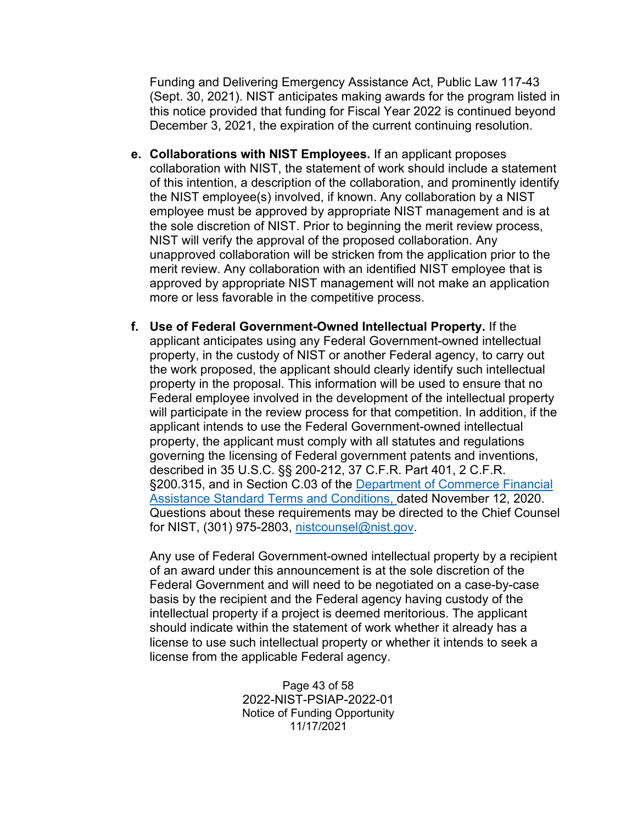Funding and Delivering Emergency Assistance Act, Public Law 117-43 (Sept. 30, 2021). NIST anticipates making awards for the program listed in this notice provided that funding for Fiscal Year 2022 is continued beyond December 3, 2021, the expiration of the current continuing resolution.

- **e. Collaborations with NIST Employees.** If an applicant proposes collaboration with NIST, the statement of work should include a statement of this intention, a description of the collaboration, and prominently identify the NIST employee(s) involved, if known. Any collaboration by a NIST employee must be approved by appropriate NIST management and is at the sole discretion of NIST. Prior to beginning the merit review process, NIST will verify the approval of the proposed collaboration. Any unapproved collaboration will be stricken from the application prior to the merit review. Any collaboration with an identified NIST employee that is approved by appropriate NIST management will not make an application more or less favorable in the competitive process.
- **f. Use of Federal Government-Owned Intellectual Property.** If the applicant anticipates using any Federal Government-owned intellectual property, in the custody of NIST or another Federal agency, to carry out the work proposed, the applicant should clearly identify such intellectual property in the proposal. This information will be used to ensure that no Federal employee involved in the development of the intellectual property will participate in the review process for that competition. In addition, if the applicant intends to use the Federal Government-owned intellectual property, the applicant must comply with all statutes and regulations governing the licensing of Federal government patents and inventions, described in 35 U.S.C. §§ 200-212, 37 C.F.R. Part 401, 2 C.F.R. §200.315, and in Section C.03 of the Department of Commerce Financial [Assistance Standard Terms and Conditions,](https://www.commerce.gov/sites/default/files/2020-11/DOC%20Standard%20Terms%20and%20Conditions%20-%2012%20November%202020%20PDF_0.pdf) dated November 12, 2020. Questions about these requirements may be directed to the Chief Counsel for NIST, (301) 975-2803, [nistcounsel@nist.gov.](mailto:nistcounsel@nist.gov)

Any use of Federal Government-owned intellectual property by a recipient of an award under this announcement is at the sole discretion of the Federal Government and will need to be negotiated on a case-by-case basis by the recipient and the Federal agency having custody of the intellectual property if a project is deemed meritorious. The applicant should indicate within the statement of work whether it already has a license to use such intellectual property or whether it intends to seek a license from the applicable Federal agency.

> Page 43 of 58 2022-NIST-PSIAP-2022-01 Notice of Funding Opportunity 11/17/2021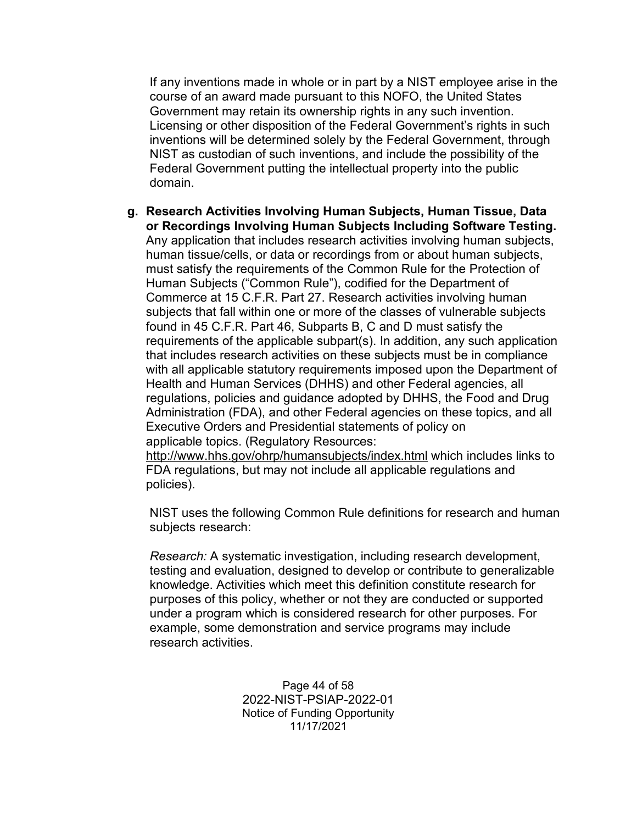If any inventions made in whole or in part by a NIST employee arise in the course of an award made pursuant to this NOFO, the United States Government may retain its ownership rights in any such invention. Licensing or other disposition of the Federal Government's rights in such inventions will be determined solely by the Federal Government, through NIST as custodian of such inventions, and include the possibility of the Federal Government putting the intellectual property into the public domain.

**g. Research Activities Involving Human Subjects, Human Tissue, Data or Recordings Involving Human Subjects Including Software Testing.**  Any application that includes research activities involving human subjects, human tissue/cells, or data or recordings from or about human subjects, must satisfy the requirements of the Common Rule for the Protection of Human Subjects ("Common Rule"), codified for the Department of Commerce at 15 C.F.R. Part 27. Research activities involving human subjects that fall within one or more of the classes of vulnerable subjects found in 45 C.F.R. Part 46, Subparts B, C and D must satisfy the requirements of the applicable subpart(s). In addition, any such application that includes research activities on these subjects must be in compliance with all applicable statutory requirements imposed upon the Department of Health and Human Services (DHHS) and other Federal agencies, all regulations, policies and guidance adopted by DHHS, the Food and Drug Administration (FDA), and other Federal agencies on these topics, and all Executive Orders and Presidential statements of policy on applicable topics. (Regulatory Resources:

<http://www.hhs.gov/ohrp/humansubjects/index.html> which includes links to FDA regulations, but may not include all applicable regulations and policies).

NIST uses the following Common Rule definitions for research and human subjects research:

*Research:* A systematic investigation, including research development, testing and evaluation, designed to develop or contribute to generalizable knowledge. Activities which meet this definition constitute research for purposes of this policy, whether or not they are conducted or supported under a program which is considered research for other purposes. For example, some demonstration and service programs may include research activities.

> Page 44 of 58 2022-NIST-PSIAP-2022-01 Notice of Funding Opportunity 11/17/2021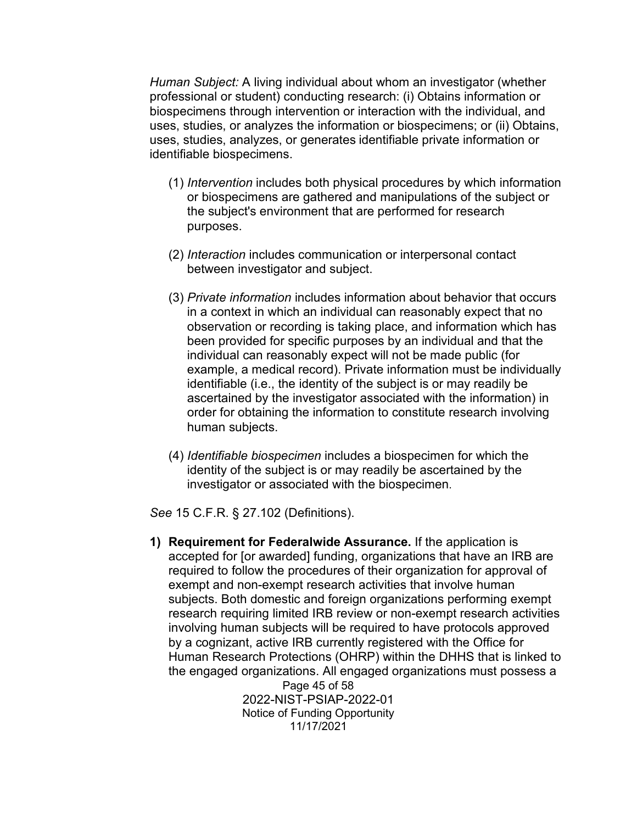*Human Subject:* A living individual about whom an investigator (whether professional or student) conducting research: (i) Obtains information or biospecimens through intervention or interaction with the individual, and uses, studies, or analyzes the information or biospecimens; or (ii) Obtains, uses, studies, analyzes, or generates identifiable private information or identifiable biospecimens.

- (1) *Intervention* includes both physical procedures by which information or biospecimens are gathered and manipulations of the subject or the subject's environment that are performed for research purposes.
- (2) *Interaction* includes communication or interpersonal contact between investigator and subject.
- (3) *Private information* includes information about behavior that occurs in a context in which an individual can reasonably expect that no observation or recording is taking place, and information which has been provided for specific purposes by an individual and that the individual can reasonably expect will not be made public (for example, a medical record). Private information must be individually identifiable (i.e., the identity of the subject is or may readily be ascertained by the investigator associated with the information) in order for obtaining the information to constitute research involving human subjects.
- (4) *Identifiable biospecimen* includes a biospecimen for which the identity of the subject is or may readily be ascertained by the investigator or associated with the biospecimen.

*See* 15 C.F.R. § 27.102 (Definitions).

Page 45 of 58 **1) Requirement for Federalwide Assurance.** If the application is accepted for [or awarded] funding, organizations that have an IRB are required to follow the procedures of their organization for approval of exempt and non-exempt research activities that involve human subjects. Both domestic and foreign organizations performing exempt research requiring limited IRB review or non-exempt research activities involving human subjects will be required to have protocols approved by a cognizant, active IRB currently registered with the Office for Human Research Protections (OHRP) within the DHHS that is linked to the engaged organizations. All engaged organizations must possess a

2022-NIST-PSIAP-2022-01 Notice of Funding Opportunity 11/17/2021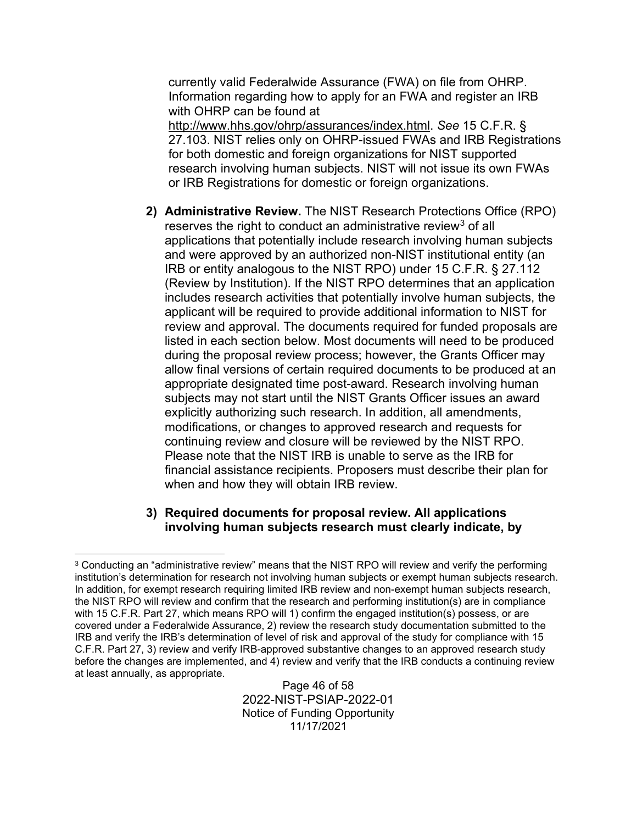currently valid Federalwide Assurance (FWA) on file from OHRP. Information regarding how to apply for an FWA and register an IRB with OHRP can be found at

[http://www.hhs.gov/ohrp/assurances/index.html.](http://www.hhs.gov/ohrp/assurances/index.html) *See* 15 C.F.R. § 27.103. NIST relies only on OHRP-issued FWAs and IRB Registrations for both domestic and foreign organizations for NIST supported research involving human subjects. NIST will not issue its own FWAs or IRB Registrations for domestic or foreign organizations.

**2) Administrative Review.** The NIST Research Protections Office (RPO) reserves the right to conduct an administrative review<sup>[3](#page-45-0)</sup> of all applications that potentially include research involving human subjects and were approved by an authorized non-NIST institutional entity (an IRB or entity analogous to the NIST RPO) under 15 C.F.R. § 27.112 (Review by Institution). If the NIST RPO determines that an application includes research activities that potentially involve human subjects, the applicant will be required to provide additional information to NIST for review and approval. The documents required for funded proposals are listed in each section below. Most documents will need to be produced during the proposal review process; however, the Grants Officer may allow final versions of certain required documents to be produced at an appropriate designated time post-award. Research involving human subjects may not start until the NIST Grants Officer issues an award explicitly authorizing such research. In addition, all amendments, modifications, or changes to approved research and requests for continuing review and closure will be reviewed by the NIST RPO. Please note that the NIST IRB is unable to serve as the IRB for financial assistance recipients. Proposers must describe their plan for when and how they will obtain IRB review.

#### **3) Required documents for proposal review. All applications involving human subjects research must clearly indicate, by**

Page 46 of 58 2022-NIST-PSIAP-2022-01 Notice of Funding Opportunity 11/17/2021

<span id="page-45-0"></span><sup>&</sup>lt;sup>3</sup> Conducting an "administrative review" means that the NIST RPO will review and verify the performing institution's determination for research not involving human subjects or exempt human subjects research. In addition, for exempt research requiring limited IRB review and non-exempt human subjects research, the NIST RPO will review and confirm that the research and performing institution(s) are in compliance with 15 C.F.R. Part 27, which means RPO will 1) confirm the engaged institution(s) possess, or are covered under a Federalwide Assurance, 2) review the research study documentation submitted to the IRB and verify the IRB's determination of level of risk and approval of the study for compliance with 15 C.F.R. Part 27, 3) review and verify IRB-approved substantive changes to an approved research study before the changes are implemented, and 4) review and verify that the IRB conducts a continuing review at least annually, as appropriate.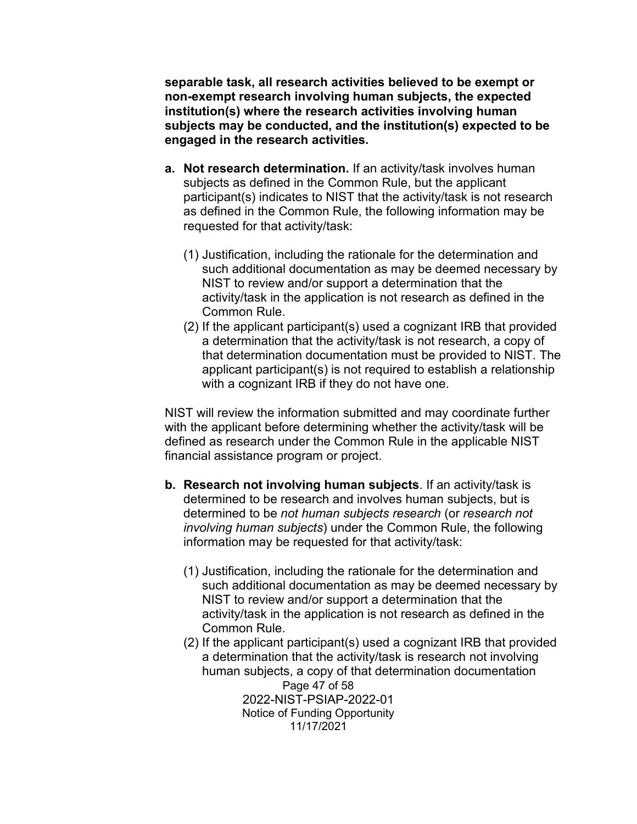**separable task, all research activities believed to be exempt or non-exempt research involving human subjects, the expected institution(s) where the research activities involving human subjects may be conducted, and the institution(s) expected to be engaged in the research activities.**

- **a. Not research determination.** If an activity/task involves human subjects as defined in the Common Rule, but the applicant participant(s) indicates to NIST that the activity/task is not research as defined in the Common Rule, the following information may be requested for that activity/task:
	- (1) Justification, including the rationale for the determination and such additional documentation as may be deemed necessary by NIST to review and/or support a determination that the activity/task in the application is not research as defined in the Common Rule.
	- (2) If the applicant participant(s) used a cognizant IRB that provided a determination that the activity/task is not research, a copy of that determination documentation must be provided to NIST. The applicant participant(s) is not required to establish a relationship with a cognizant IRB if they do not have one.

NIST will review the information submitted and may coordinate further with the applicant before determining whether the activity/task will be defined as research under the Common Rule in the applicable NIST financial assistance program or project.

- **b. Research not involving human subjects**. If an activity/task is determined to be research and involves human subjects, but is determined to be *not human subjects research* (or *research not involving human subjects*) under the Common Rule, the following information may be requested for that activity/task:
	- (1) Justification, including the rationale for the determination and such additional documentation as may be deemed necessary by NIST to review and/or support a determination that the activity/task in the application is not research as defined in the Common Rule.
	- Page 47 of 58 2022-NIST-PSIAP-2022-01 Notice of Funding Opportunity 11/17/2021 (2) If the applicant participant(s) used a cognizant IRB that provided a determination that the activity/task is research not involving human subjects, a copy of that determination documentation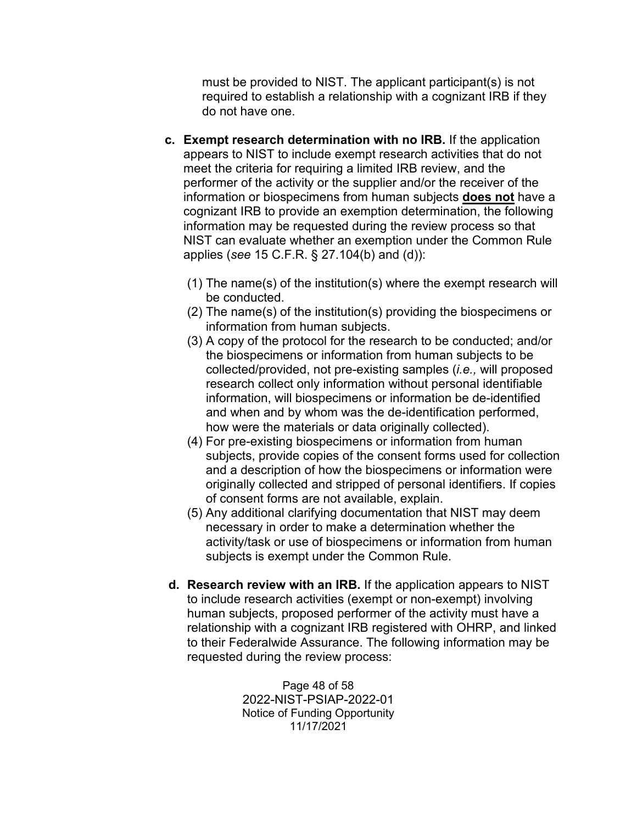must be provided to NIST. The applicant participant(s) is not required to establish a relationship with a cognizant IRB if they do not have one.

- **c. Exempt research determination with no IRB.** If the application appears to NIST to include exempt research activities that do not meet the criteria for requiring a limited IRB review, and the performer of the activity or the supplier and/or the receiver of the information or biospecimens from human subjects **does not** have a cognizant IRB to provide an exemption determination, the following information may be requested during the review process so that NIST can evaluate whether an exemption under the Common Rule applies (*see* 15 C.F.R. § 27.104(b) and (d)):
	- (1) The name(s) of the institution(s) where the exempt research will be conducted.
	- (2) The name(s) of the institution(s) providing the biospecimens or information from human subjects.
	- (3) A copy of the protocol for the research to be conducted; and/or the biospecimens or information from human subjects to be collected/provided, not pre-existing samples (*i.e.,* will proposed research collect only information without personal identifiable information, will biospecimens or information be de-identified and when and by whom was the de-identification performed, how were the materials or data originally collected).
	- (4) For pre-existing biospecimens or information from human subjects, provide copies of the consent forms used for collection and a description of how the biospecimens or information were originally collected and stripped of personal identifiers. If copies of consent forms are not available, explain.
	- (5) Any additional clarifying documentation that NIST may deem necessary in order to make a determination whether the activity/task or use of biospecimens or information from human subjects is exempt under the Common Rule.
- **d. Research review with an IRB.** If the application appears to NIST to include research activities (exempt or non-exempt) involving human subjects, proposed performer of the activity must have a relationship with a cognizant IRB registered with OHRP, and linked to their Federalwide Assurance. The following information may be requested during the review process:

Page 48 of 58 2022-NIST-PSIAP-2022-01 Notice of Funding Opportunity 11/17/2021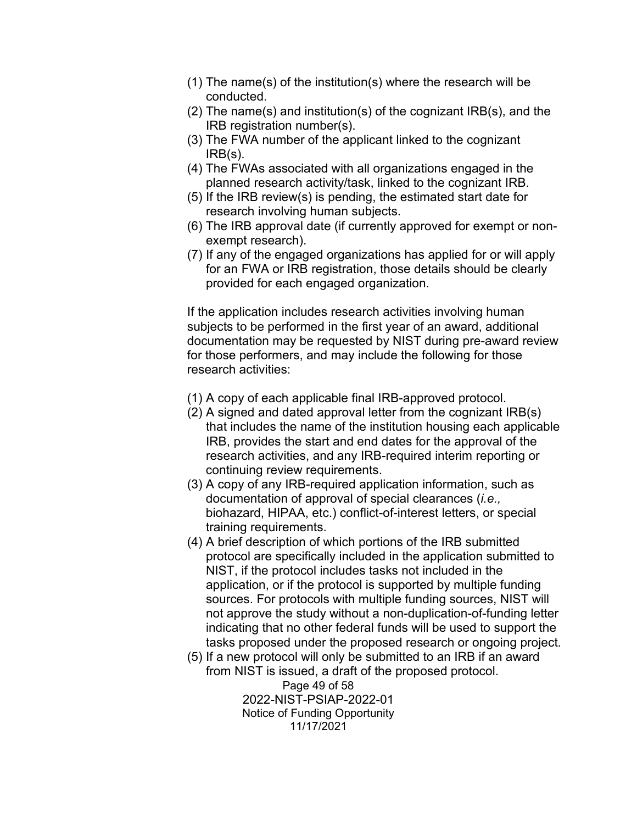- (1) The name(s) of the institution(s) where the research will be conducted.
- (2) The name(s) and institution(s) of the cognizant IRB(s), and the IRB registration number(s).
- (3) The FWA number of the applicant linked to the cognizant IRB(s).
- (4) The FWAs associated with all organizations engaged in the planned research activity/task, linked to the cognizant IRB.
- (5) If the IRB review(s) is pending, the estimated start date for research involving human subjects.
- (6) The IRB approval date (if currently approved for exempt or nonexempt research).
- (7) If any of the engaged organizations has applied for or will apply for an FWA or IRB registration, those details should be clearly provided for each engaged organization.

If the application includes research activities involving human subjects to be performed in the first year of an award, additional documentation may be requested by NIST during pre-award review for those performers, and may include the following for those research activities:

- (1) A copy of each applicable final IRB-approved protocol.
- (2) A signed and dated approval letter from the cognizant IRB(s) that includes the name of the institution housing each applicable IRB, provides the start and end dates for the approval of the research activities, and any IRB-required interim reporting or continuing review requirements.
- (3) A copy of any IRB-required application information, such as documentation of approval of special clearances (*i.e.,* biohazard, HIPAA, etc.) conflict-of-interest letters, or special training requirements.
- (4) A brief description of which portions of the IRB submitted protocol are specifically included in the application submitted to NIST, if the protocol includes tasks not included in the application, or if the protocol is supported by multiple funding sources. For protocols with multiple funding sources, NIST will not approve the study without a non-duplication-of-funding letter indicating that no other federal funds will be used to support the tasks proposed under the proposed research or ongoing project.
- (5) If a new protocol will only be submitted to an IRB if an award from NIST is issued, a draft of the proposed protocol.

Page 49 of 58 2022-NIST-PSIAP-2022-01 Notice of Funding Opportunity 11/17/2021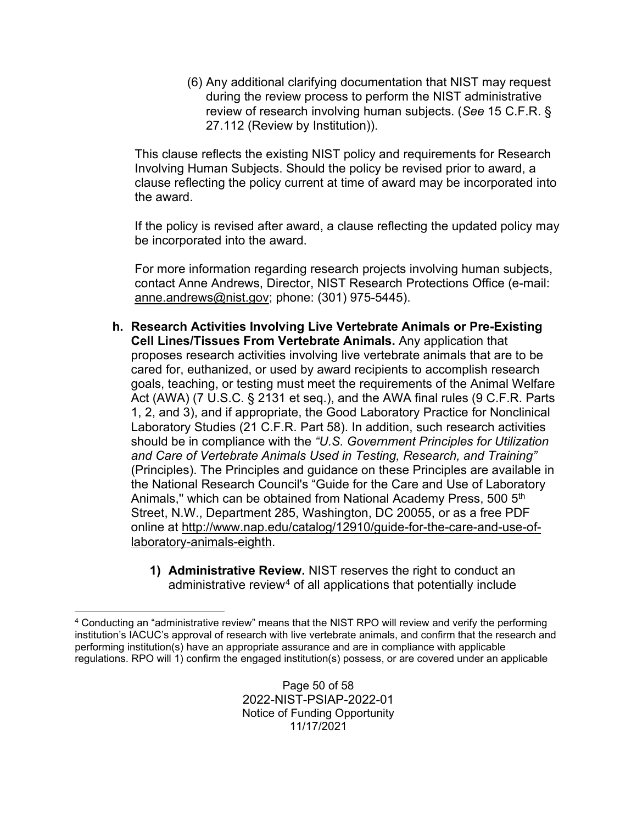(6) Any additional clarifying documentation that NIST may request during the review process to perform the NIST administrative review of research involving human subjects. (*See* 15 C.F.R. § 27.112 (Review by Institution)).

This clause reflects the existing NIST policy and requirements for Research Involving Human Subjects. Should the policy be revised prior to award, a clause reflecting the policy current at time of award may be incorporated into the award.

If the policy is revised after award, a clause reflecting the updated policy may be incorporated into the award.

For more information regarding research projects involving human subjects, contact Anne Andrews, Director, NIST Research Protections Office (e-mail: [anne.andrews@nist.gov;](mailto:anne.andrews@nist.gov) phone: (301) 975-5445).

- **h. Research Activities Involving Live Vertebrate Animals or Pre-Existing Cell Lines/Tissues From Vertebrate Animals.** Any application that proposes research activities involving live vertebrate animals that are to be cared for, euthanized, or used by award recipients to accomplish research goals, teaching, or testing must meet the requirements of the Animal Welfare Act (AWA) (7 U.S.C. § 2131 et seq.), and the AWA final rules (9 C.F.R. Parts 1, 2, and 3), and if appropriate, the Good Laboratory Practice for Nonclinical Laboratory Studies (21 C.F.R. Part 58). In addition, such research activities should be in compliance with the *"U.S. Government Principles for Utilization and Care of Vertebrate Animals Used in Testing, Research, and Training"*  (Principles). The Principles and guidance on these Principles are available in the National Research Council's "Guide for the Care and Use of Laboratory Animals," which can be obtained from National Academy Press, 500 5<sup>th</sup> Street, N.W., Department 285, Washington, DC 20055, or as a free PDF online at [http://www.nap.edu/catalog/12910/guide-for-the-care-and-use-of](http://www.nap.edu/catalog/12910/guide-for-the-care-and-use-of-laboratory-animals-eighth)[laboratory-animals-eighth.](http://www.nap.edu/catalog/12910/guide-for-the-care-and-use-of-laboratory-animals-eighth)
	- **1) Administrative Review.** NIST reserves the right to conduct an administrative review<sup>[4](#page-49-0)</sup> of all applications that potentially include

<span id="page-49-0"></span><sup>4</sup> Conducting an "administrative review" means that the NIST RPO will review and verify the performing institution's IACUC's approval of research with live vertebrate animals, and confirm that the research and performing institution(s) have an appropriate assurance and are in compliance with applicable regulations. RPO will 1) confirm the engaged institution(s) possess, or are covered under an applicable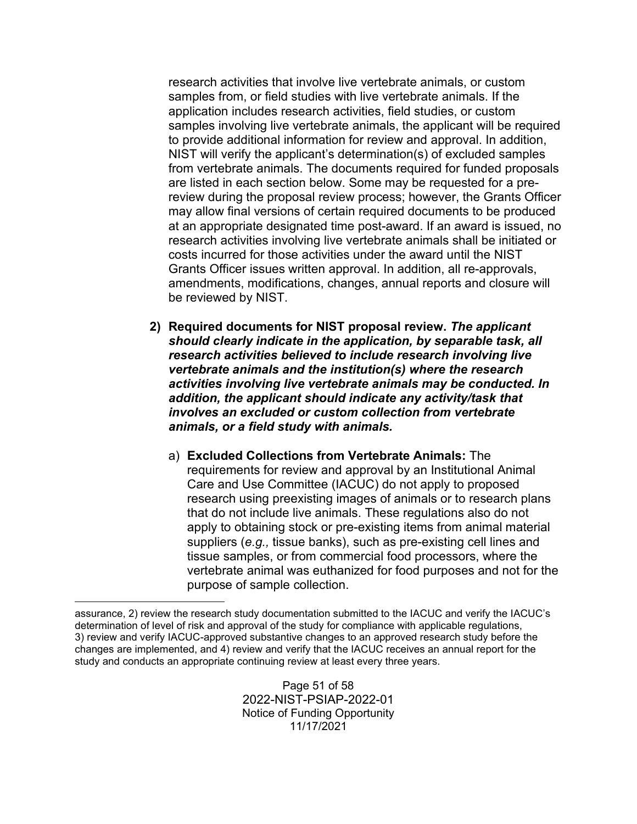research activities that involve live vertebrate animals, or custom samples from, or field studies with live vertebrate animals. If the application includes research activities, field studies, or custom samples involving live vertebrate animals, the applicant will be required to provide additional information for review and approval. In addition, NIST will verify the applicant's determination(s) of excluded samples from vertebrate animals. The documents required for funded proposals are listed in each section below. Some may be requested for a prereview during the proposal review process; however, the Grants Officer may allow final versions of certain required documents to be produced at an appropriate designated time post-award. If an award is issued, no research activities involving live vertebrate animals shall be initiated or costs incurred for those activities under the award until the NIST Grants Officer issues written approval. In addition, all re-approvals, amendments, modifications, changes, annual reports and closure will be reviewed by NIST.

- **2) Required documents for NIST proposal review.** *The applicant should clearly indicate in the application, by separable task, all research activities believed to include research involving live vertebrate animals and the institution(s) where the research activities involving live vertebrate animals may be conducted. In addition, the applicant should indicate any activity/task that involves an excluded or custom collection from vertebrate animals, or a field study with animals.*
	- a) **Excluded Collections from Vertebrate Animals:** The requirements for review and approval by an Institutional Animal Care and Use Committee (IACUC) do not apply to proposed research using preexisting images of animals or to research plans that do not include live animals. These regulations also do not apply to obtaining stock or pre-existing items from animal material suppliers (*e.g.,* tissue banks), such as pre-existing cell lines and tissue samples, or from commercial food processors, where the vertebrate animal was euthanized for food purposes and not for the purpose of sample collection.

Page 51 of 58 2022-NIST-PSIAP-2022-01 Notice of Funding Opportunity 11/17/2021

assurance, 2) review the research study documentation submitted to the IACUC and verify the IACUC's determination of level of risk and approval of the study for compliance with applicable regulations, 3) review and verify IACUC-approved substantive changes to an approved research study before the changes are implemented, and 4) review and verify that the IACUC receives an annual report for the study and conducts an appropriate continuing review at least every three years.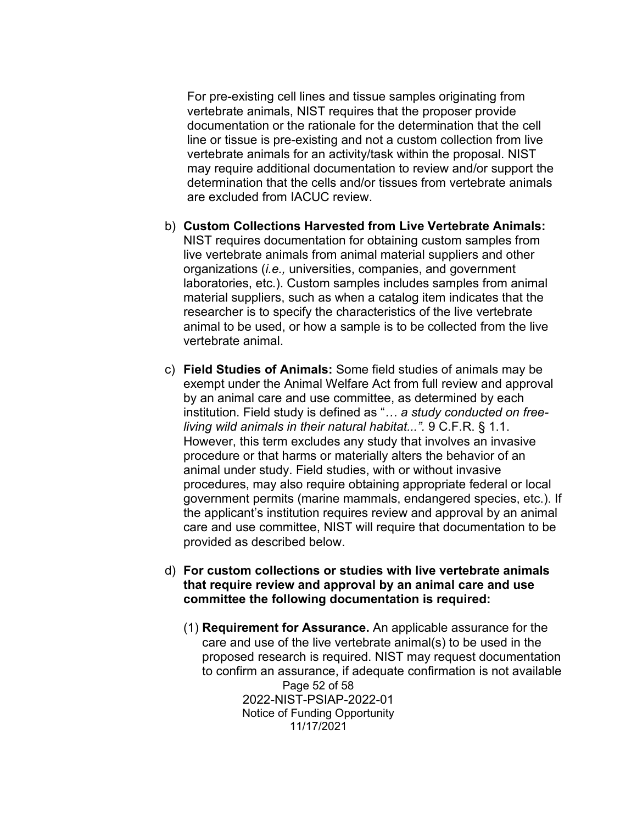For pre-existing cell lines and tissue samples originating from vertebrate animals, NIST requires that the proposer provide documentation or the rationale for the determination that the cell line or tissue is pre-existing and not a custom collection from live vertebrate animals for an activity/task within the proposal. NIST may require additional documentation to review and/or support the determination that the cells and/or tissues from vertebrate animals are excluded from IACUC review.

- b) **Custom Collections Harvested from Live Vertebrate Animals:** NIST requires documentation for obtaining custom samples from live vertebrate animals from animal material suppliers and other organizations (*i.e.,* universities, companies, and government laboratories, etc.). Custom samples includes samples from animal material suppliers, such as when a catalog item indicates that the researcher is to specify the characteristics of the live vertebrate animal to be used, or how a sample is to be collected from the live vertebrate animal.
- c) **Field Studies of Animals:** Some field studies of animals may be exempt under the Animal Welfare Act from full review and approval by an animal care and use committee, as determined by each institution. Field study is defined as "*… a study conducted on freeliving wild animals in their natural habitat...".* 9 C.F.R. § 1.1. However, this term excludes any study that involves an invasive procedure or that harms or materially alters the behavior of an animal under study. Field studies, with or without invasive procedures, may also require obtaining appropriate federal or local government permits (marine mammals, endangered species, etc.). If the applicant's institution requires review and approval by an animal care and use committee, NIST will require that documentation to be provided as described below.
- d) **For custom collections or studies with live vertebrate animals that require review and approval by an animal care and use committee the following documentation is required:**
	- Page 52 of 58 2022-NIST-PSIAP-2022-01 Notice of Funding Opportunity 11/17/2021 (1) **Requirement for Assurance.** An applicable assurance for the care and use of the live vertebrate animal(s) to be used in the proposed research is required. NIST may request documentation to confirm an assurance, if adequate confirmation is not available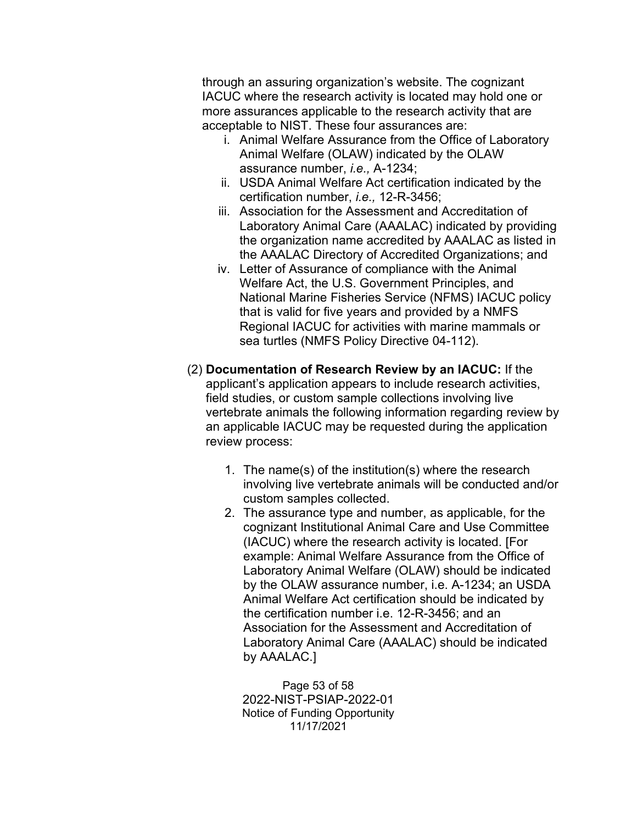through an assuring organization's website. The cognizant IACUC where the research activity is located may hold one or more assurances applicable to the research activity that are acceptable to NIST. These four assurances are:

- i. Animal Welfare Assurance from the Office of Laboratory Animal Welfare (OLAW) indicated by the OLAW assurance number, *i.e.,* A-1234;
- ii. USDA Animal Welfare Act certification indicated by the certification number, *i.e.,* 12-R-3456;
- iii. Association for the Assessment and Accreditation of Laboratory Animal Care (AAALAC) indicated by providing the organization name accredited by AAALAC as listed in the AAALAC Directory of Accredited Organizations; and
- iv. Letter of Assurance of compliance with the Animal Welfare Act, the U.S. Government Principles, and National Marine Fisheries Service (NFMS) IACUC policy that is valid for five years and provided by a NMFS Regional IACUC for activities with marine mammals or sea turtles (NMFS Policy Directive 04-112).
- (2) **Documentation of Research Review by an IACUC:** If the applicant's application appears to include research activities, field studies, or custom sample collections involving live vertebrate animals the following information regarding review by an applicable IACUC may be requested during the application review process:
	- 1. The name(s) of the institution(s) where the research involving live vertebrate animals will be conducted and/or custom samples collected.
	- 2. The assurance type and number, as applicable, for the cognizant Institutional Animal Care and Use Committee (IACUC) where the research activity is located. [For example: Animal Welfare Assurance from the Office of Laboratory Animal Welfare (OLAW) should be indicated by the OLAW assurance number, i.e. A-1234; an USDA Animal Welfare Act certification should be indicated by the certification number i.e. 12-R-3456; and an Association for the Assessment and Accreditation of Laboratory Animal Care (AAALAC) should be indicated by AAALAC.]

Page 53 of 58 2022-NIST-PSIAP-2022-01 Notice of Funding Opportunity 11/17/2021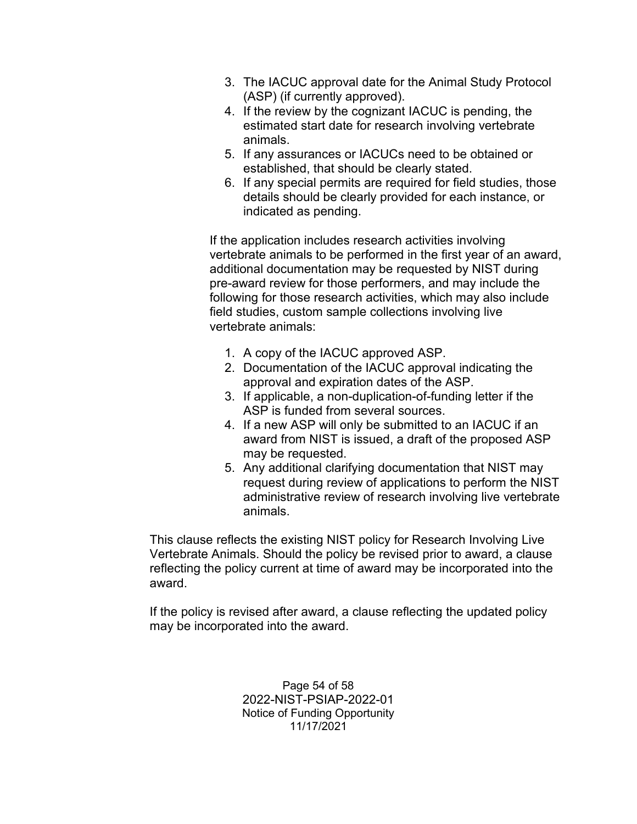- 3. The IACUC approval date for the Animal Study Protocol (ASP) (if currently approved).
- 4. If the review by the cognizant IACUC is pending, the estimated start date for research involving vertebrate animals.
- 5. If any assurances or IACUCs need to be obtained or established, that should be clearly stated.
- 6. If any special permits are required for field studies, those details should be clearly provided for each instance, or indicated as pending.

If the application includes research activities involving vertebrate animals to be performed in the first year of an award, additional documentation may be requested by NIST during pre-award review for those performers, and may include the following for those research activities, which may also include field studies, custom sample collections involving live vertebrate animals:

- 1. A copy of the IACUC approved ASP.
- 2. Documentation of the IACUC approval indicating the approval and expiration dates of the ASP.
- 3. If applicable, a non-duplication-of-funding letter if the ASP is funded from several sources.
- 4. If a new ASP will only be submitted to an IACUC if an award from NIST is issued, a draft of the proposed ASP may be requested.
- 5. Any additional clarifying documentation that NIST may request during review of applications to perform the NIST administrative review of research involving live vertebrate animals.

This clause reflects the existing NIST policy for Research Involving Live Vertebrate Animals. Should the policy be revised prior to award, a clause reflecting the policy current at time of award may be incorporated into the award.

If the policy is revised after award, a clause reflecting the updated policy may be incorporated into the award.

> Page 54 of 58 2022-NIST-PSIAP-2022-01 Notice of Funding Opportunity 11/17/2021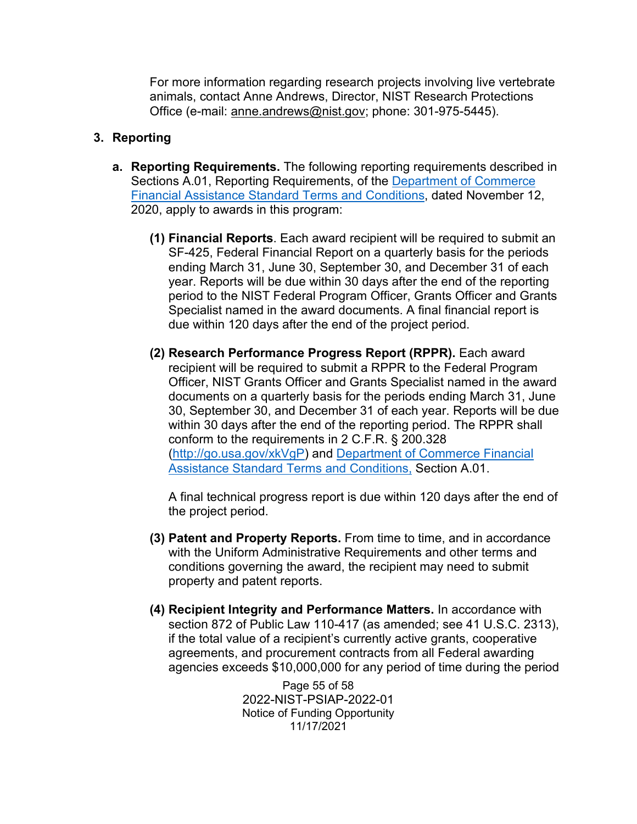For more information regarding research projects involving live vertebrate animals, contact Anne Andrews, Director, NIST Research Protections Office (e-mail: [anne.andrews@nist.gov;](mailto:linda.schilling@nist.gov) phone: 301-975-5445).

## **3. Reporting**

- **a. Reporting Requirements.** The following reporting requirements described in Sections A.01, Reporting Requirements, of the [Department of Commerce](https://www.commerce.gov/sites/default/files/2020-11/DOC%20Standard%20Terms%20and%20Conditions%20-%2012%20November%202020%20PDF_0.pdf)  [Financial Assistance Standard Terms and Conditions,](https://www.commerce.gov/sites/default/files/2020-11/DOC%20Standard%20Terms%20and%20Conditions%20-%2012%20November%202020%20PDF_0.pdf) dated November 12, 2020, apply to awards in this program:
	- **(1) Financial Reports**. Each award recipient will be required to submit an SF-425, Federal Financial Report on a quarterly basis for the periods ending March 31, June 30, September 30, and December 31 of each year. Reports will be due within 30 days after the end of the reporting period to the NIST Federal Program Officer, Grants Officer and Grants Specialist named in the award documents. A final financial report is due within 120 days after the end of the project period.
	- **(2) Research Performance Progress Report (RPPR).** Each award recipient will be required to submit a RPPR to the Federal Program Officer, NIST Grants Officer and Grants Specialist named in the award documents on a quarterly basis for the periods ending March 31, June 30, September 30, and December 31 of each year. Reports will be due within 30 days after the end of the reporting period. The RPPR shall conform to the requirements in 2 C.F.R. § 200.328 [\(http://go.usa.gov/xkVgP\)](http://go.usa.gov/xkVgP) and [Department of Commerce Financial](https://www.commerce.gov/sites/default/files/2020-11/DOC%20Standard%20Terms%20and%20Conditions%20-%2012%20November%202020%20PDF_0.pdf)  [Assistance Standard Terms and Conditions,](https://www.commerce.gov/sites/default/files/2020-11/DOC%20Standard%20Terms%20and%20Conditions%20-%2012%20November%202020%20PDF_0.pdf) Section A.01.

A final technical progress report is due within 120 days after the end of the project period.

- **(3) Patent and Property Reports.** From time to time, and in accordance with the Uniform Administrative Requirements and other terms and conditions governing the award, the recipient may need to submit property and patent reports.
- **(4) Recipient Integrity and Performance Matters.** In accordance with section 872 of Public Law 110-417 (as amended; see 41 U.S.C. 2313), if the total value of a recipient's currently active grants, cooperative agreements, and procurement contracts from all Federal awarding agencies exceeds \$10,000,000 for any period of time during the period

Page 55 of 58 2022-NIST-PSIAP-2022-01 Notice of Funding Opportunity 11/17/2021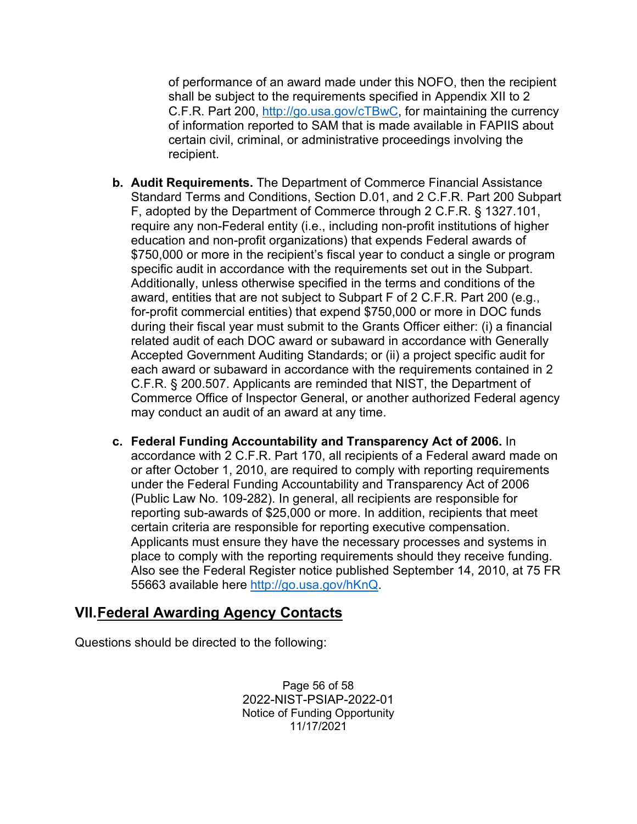of performance of an award made under this NOFO, then the recipient shall be subject to the requirements specified in Appendix XII to 2 C.F.R. Part 200, [http://go.usa.gov/cTBwC,](http://go.usa.gov/cTBwC) for maintaining the currency of information reported to SAM that is made available in FAPIIS about certain civil, criminal, or administrative proceedings involving the recipient.

- **b. Audit Requirements.** The Department of Commerce Financial Assistance Standard Terms and Conditions, Section D.01, and 2 C.F.R. Part 200 Subpart F, adopted by the Department of Commerce through 2 C.F.R. § 1327.101, require any non-Federal entity (i.e., including non-profit institutions of higher education and non-profit organizations) that expends Federal awards of \$750,000 or more in the recipient's fiscal year to conduct a single or program specific audit in accordance with the requirements set out in the Subpart. Additionally, unless otherwise specified in the terms and conditions of the award, entities that are not subject to Subpart F of 2 C.F.R. Part 200 (e.g., for-profit commercial entities) that expend \$750,000 or more in DOC funds during their fiscal year must submit to the Grants Officer either: (i) a financial related audit of each DOC award or subaward in accordance with Generally Accepted Government Auditing Standards; or (ii) a project specific audit for each award or subaward in accordance with the requirements contained in 2 C.F.R. § 200.507. Applicants are reminded that NIST, the Department of Commerce Office of Inspector General, or another authorized Federal agency may conduct an audit of an award at any time.
- **c. Federal Funding Accountability and Transparency Act of 2006.** In accordance with 2 C.F.R. Part 170, all recipients of a Federal award made on or after October 1, 2010, are required to comply with reporting requirements under the Federal Funding Accountability and Transparency Act of 2006 (Public Law No. 109-282). In general, all recipients are responsible for reporting sub-awards of \$25,000 or more. In addition, recipients that meet certain criteria are responsible for reporting executive compensation. Applicants must ensure they have the necessary processes and systems in place to comply with the reporting requirements should they receive funding. Also see the Federal Register notice published September 14, 2010, at 75 FR 55663 available here [http://go.usa.gov/hKnQ.](http://go.usa.gov/hKnQ)

## <span id="page-55-0"></span>**VII.Federal Awarding Agency Contacts**

Questions should be directed to the following:

Page 56 of 58 2022-NIST-PSIAP-2022-01 Notice of Funding Opportunity 11/17/2021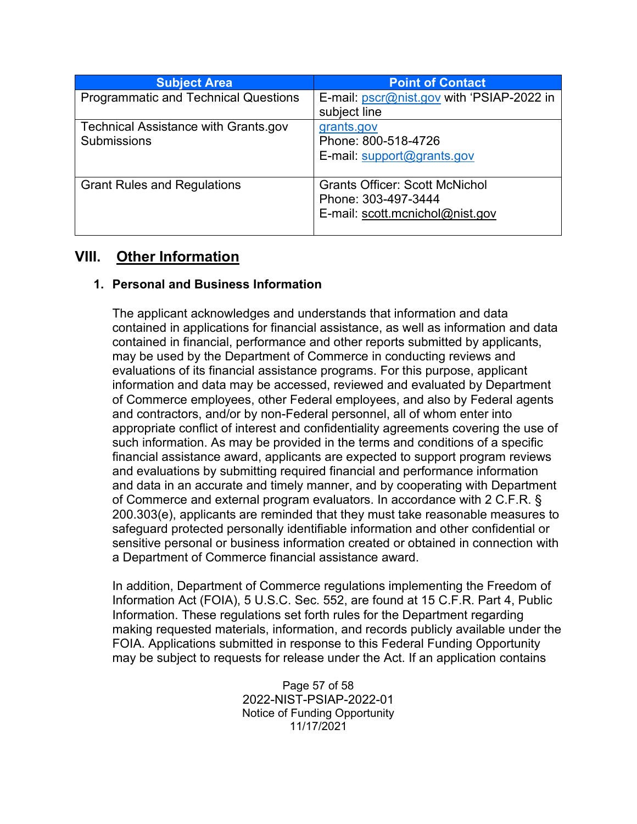| <b>Subject Area</b>                         | <b>Point of Contact</b>                   |
|---------------------------------------------|-------------------------------------------|
| <b>Programmatic and Technical Questions</b> | E-mail: pscr@nist.gov with 'PSIAP-2022 in |
|                                             | subject line                              |
| <b>Technical Assistance with Grants.gov</b> | grants.gov                                |
| <b>Submissions</b>                          | Phone: 800-518-4726                       |
|                                             | E-mail: support@grants.gov                |
|                                             |                                           |
| <b>Grant Rules and Regulations</b>          | <b>Grants Officer: Scott McNichol</b>     |
|                                             | Phone: 303-497-3444                       |
|                                             | E-mail: scott.mcnichol@nist.gov           |
|                                             |                                           |

# <span id="page-56-0"></span>**VIII. Other Information**

## **1. Personal and Business Information**

The applicant acknowledges and understands that information and data contained in applications for financial assistance, as well as information and data contained in financial, performance and other reports submitted by applicants, may be used by the Department of Commerce in conducting reviews and evaluations of its financial assistance programs. For this purpose, applicant information and data may be accessed, reviewed and evaluated by Department of Commerce employees, other Federal employees, and also by Federal agents and contractors, and/or by non-Federal personnel, all of whom enter into appropriate conflict of interest and confidentiality agreements covering the use of such information. As may be provided in the terms and conditions of a specific financial assistance award, applicants are expected to support program reviews and evaluations by submitting required financial and performance information and data in an accurate and timely manner, and by cooperating with Department of Commerce and external program evaluators. In accordance with 2 C.F.R. § 200.303(e), applicants are reminded that they must take reasonable measures to safeguard protected personally identifiable information and other confidential or sensitive personal or business information created or obtained in connection with a Department of Commerce financial assistance award.

In addition, Department of Commerce regulations implementing the Freedom of Information Act (FOIA), 5 U.S.C. Sec. 552, are found at 15 C.F.R. Part 4, Public Information. These regulations set forth rules for the Department regarding making requested materials, information, and records publicly available under the FOIA. Applications submitted in response to this Federal Funding Opportunity may be subject to requests for release under the Act. If an application contains

> Page 57 of 58 2022-NIST-PSIAP-2022-01 Notice of Funding Opportunity 11/17/2021